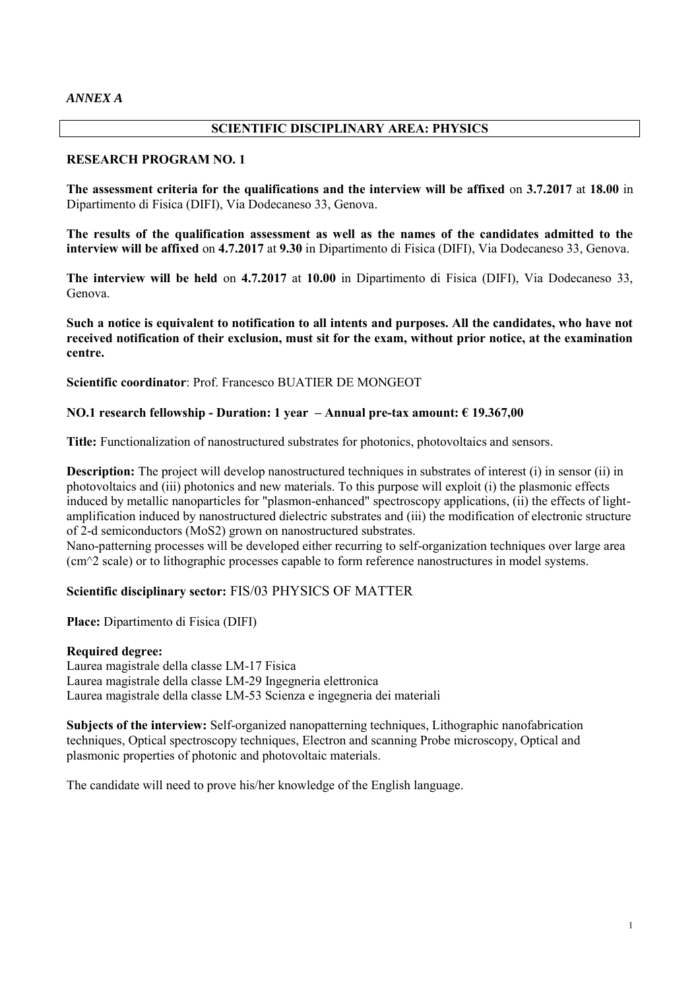### *ANNEX A*

### **SCIENTIFIC DISCIPLINARY AREA: PHYSICS**

#### **RESEARCH PROGRAM NO. 1**

**The assessment criteria for the qualifications and the interview will be affixed** on **3.7.2017** at **18.00** in Dipartimento di Fisica (DIFI), Via Dodecaneso 33, Genova.

**The results of the qualification assessment as well as the names of the candidates admitted to the interview will be affixed** on **4.7.2017** at **9.30** in Dipartimento di Fisica (DIFI), Via Dodecaneso 33, Genova.

**The interview will be held** on **4.7.2017** at **10.00** in Dipartimento di Fisica (DIFI), Via Dodecaneso 33, Genova.

**Such a notice is equivalent to notification to all intents and purposes. All the candidates, who have not received notification of their exclusion, must sit for the exam, without prior notice, at the examination centre.** 

**Scientific coordinator**: Prof. Francesco BUATIER DE MONGEOT

#### **NO.1 research fellowship - Duration: 1 year – Annual pre-tax amount: € 19.367,00**

**Title:** Functionalization of nanostructured substrates for photonics, photovoltaics and sensors.

**Description:** The project will develop nanostructured techniques in substrates of interest (i) in sensor (ii) in photovoltaics and (iii) photonics and new materials. To this purpose will exploit (i) the plasmonic effects induced by metallic nanoparticles for "plasmon-enhanced" spectroscopy applications, (ii) the effects of lightamplification induced by nanostructured dielectric substrates and (iii) the modification of electronic structure of 2-d semiconductors (MoS2) grown on nanostructured substrates.

Nano-patterning processes will be developed either recurring to self-organization techniques over large area (cm^2 scale) or to lithographic processes capable to form reference nanostructures in model systems.

### **Scientific disciplinary sector:** FIS/03 PHYSICS OF MATTER

**Place:** Dipartimento di Fisica (DIFI)

#### **Required degree:**

Laurea magistrale della classe LM-17 Fisica Laurea magistrale della classe LM-29 Ingegneria elettronica Laurea magistrale della classe LM-53 Scienza e ingegneria dei materiali

**Subjects of the interview:** Self-organized nanopatterning techniques, Lithographic nanofabrication techniques, Optical spectroscopy techniques, Electron and scanning Probe microscopy, Optical and plasmonic properties of photonic and photovoltaic materials.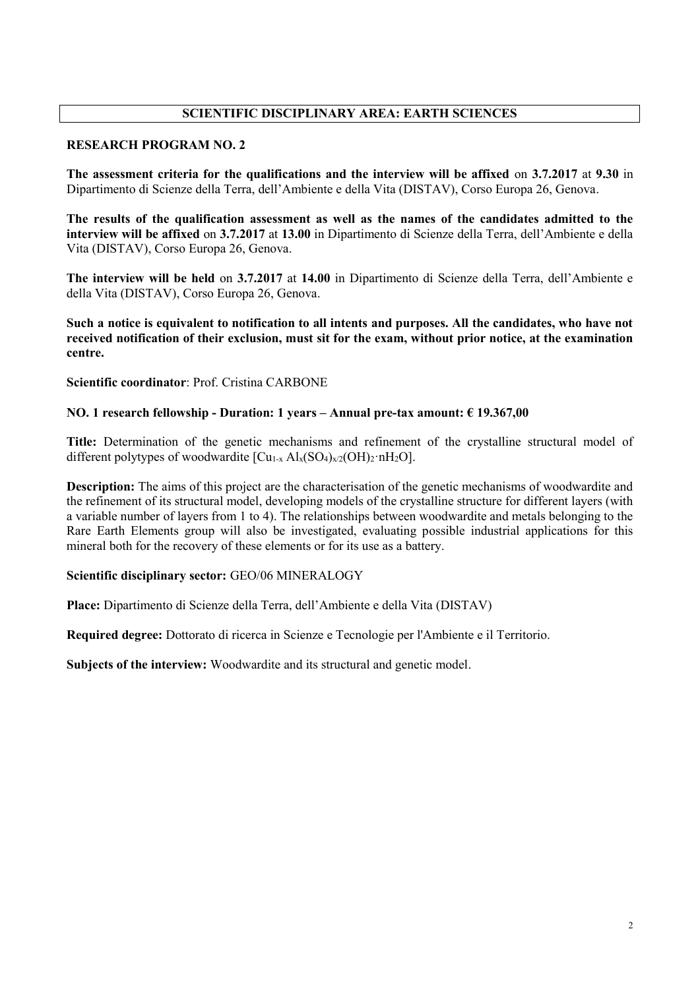# **SCIENTIFIC DISCIPLINARY AREA: EARTH SCIENCES**

### **RESEARCH PROGRAM NO. 2**

**The assessment criteria for the qualifications and the interview will be affixed** on **3.7.2017** at **9.30** in Dipartimento di Scienze della Terra, dell'Ambiente e della Vita (DISTAV), Corso Europa 26, Genova.

**The results of the qualification assessment as well as the names of the candidates admitted to the interview will be affixed** on **3.7.2017** at **13.00** in Dipartimento di Scienze della Terra, dell'Ambiente e della Vita (DISTAV), Corso Europa 26, Genova.

**The interview will be held** on **3.7.2017** at **14.00** in Dipartimento di Scienze della Terra, dell'Ambiente e della Vita (DISTAV), Corso Europa 26, Genova.

**Such a notice is equivalent to notification to all intents and purposes. All the candidates, who have not received notification of their exclusion, must sit for the exam, without prior notice, at the examination centre.** 

**Scientific coordinator**: Prof. Cristina CARBONE

## **NO. 1 research fellowship - Duration: 1 years – Annual pre-tax amount: € 19.367,00**

Title: Determination of the genetic mechanisms and refinement of the crystalline structural model of different polytypes of woodwardite  $\left[\text{Cu}_{1-x} \text{Al}_{x}(\text{SO}_{4})_{x/2}(\text{OH})_{2} \cdot \text{nH}_{2}\text{O}\right]$ .

**Description:** The aims of this project are the characterisation of the genetic mechanisms of woodwardite and the refinement of its structural model, developing models of the crystalline structure for different layers (with a variable number of layers from 1 to 4). The relationships between woodwardite and metals belonging to the Rare Earth Elements group will also be investigated, evaluating possible industrial applications for this mineral both for the recovery of these elements or for its use as a battery.

### **Scientific disciplinary sector:** GEO/06 MINERALOGY

**Place:** Dipartimento di Scienze della Terra, dell'Ambiente e della Vita (DISTAV)

**Required degree:** Dottorato di ricerca in Scienze e Tecnologie per l'Ambiente e il Territorio.

**Subjects of the interview:** Woodwardite and its structural and genetic model.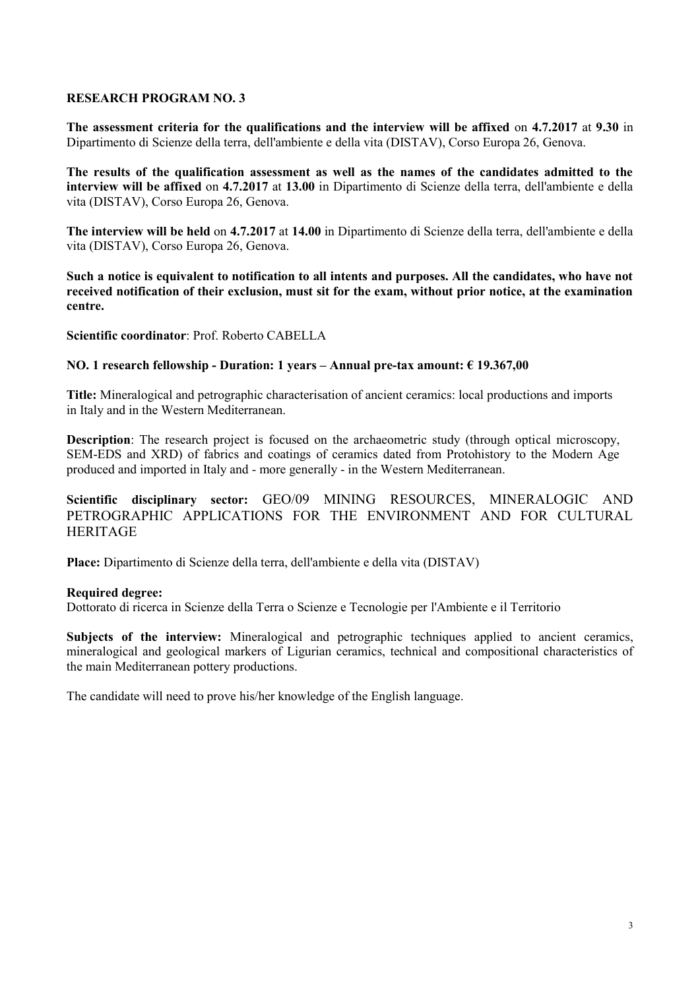**The assessment criteria for the qualifications and the interview will be affixed** on **4.7.2017** at **9.30** in Dipartimento di Scienze della terra, dell'ambiente e della vita (DISTAV), Corso Europa 26, Genova.

**The results of the qualification assessment as well as the names of the candidates admitted to the interview will be affixed** on **4.7.2017** at **13.00** in Dipartimento di Scienze della terra, dell'ambiente e della vita (DISTAV), Corso Europa 26, Genova.

**The interview will be held** on **4.7.2017** at **14.00** in Dipartimento di Scienze della terra, dell'ambiente e della vita (DISTAV), Corso Europa 26, Genova.

**Such a notice is equivalent to notification to all intents and purposes. All the candidates, who have not received notification of their exclusion, must sit for the exam, without prior notice, at the examination centre.** 

**Scientific coordinator**: Prof. Roberto CABELLA

### **NO. 1 research fellowship - Duration: 1 years – Annual pre-tax amount: € 19.367,00**

**Title:** Mineralogical and petrographic characterisation of ancient ceramics: local productions and imports in Italy and in the Western Mediterranean.

**Description**: The research project is focused on the archaeometric study (through optical microscopy, SEM-EDS and XRD) of fabrics and coatings of ceramics dated from Protohistory to the Modern Age produced and imported in Italy and - more generally - in the Western Mediterranean.

**Scientific disciplinary sector:** GEO/09 MINING RESOURCES, MINERALOGIC AND PETROGRAPHIC APPLICATIONS FOR THE ENVIRONMENT AND FOR CULTURAL **HERITAGE** 

**Place:** Dipartimento di Scienze della terra, dell'ambiente e della vita (DISTAV)

### **Required degree:**

Dottorato di ricerca in Scienze della Terra o Scienze e Tecnologie per l'Ambiente e il Territorio

Subjects of the interview: Mineralogical and petrographic techniques applied to ancient ceramics, mineralogical and geological markers of Ligurian ceramics, technical and compositional characteristics of the main Mediterranean pottery productions.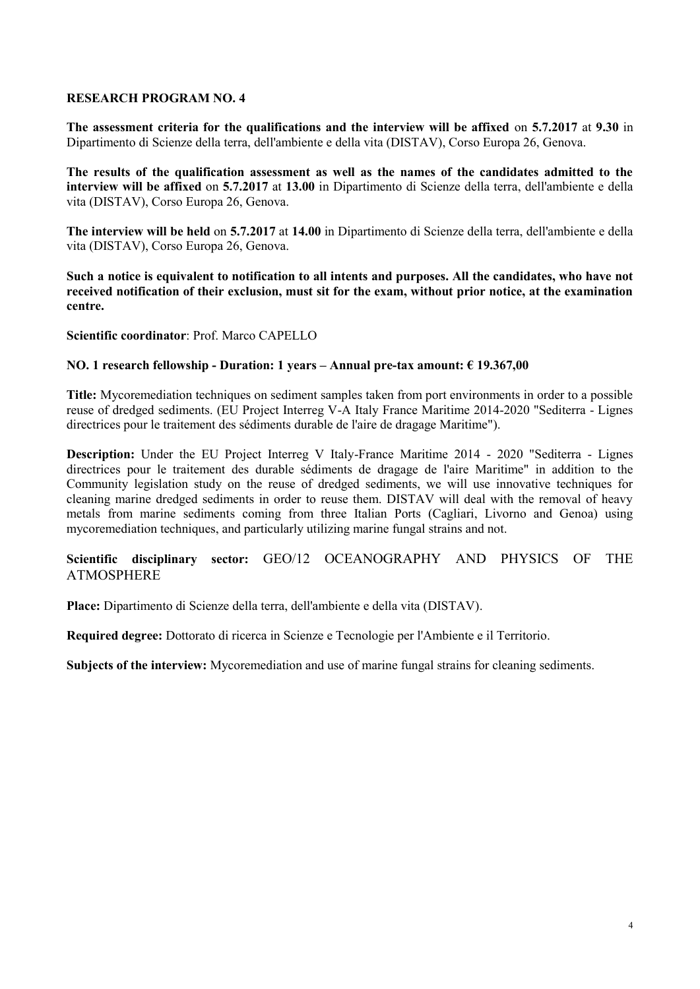**The assessment criteria for the qualifications and the interview will be affixed** on **5.7.2017** at **9.30** in Dipartimento di Scienze della terra, dell'ambiente e della vita (DISTAV), Corso Europa 26, Genova.

**The results of the qualification assessment as well as the names of the candidates admitted to the interview will be affixed** on **5.7.2017** at **13.00** in Dipartimento di Scienze della terra, dell'ambiente e della vita (DISTAV), Corso Europa 26, Genova.

**The interview will be held** on **5.7.2017** at **14.00** in Dipartimento di Scienze della terra, dell'ambiente e della vita (DISTAV), Corso Europa 26, Genova.

**Such a notice is equivalent to notification to all intents and purposes. All the candidates, who have not received notification of their exclusion, must sit for the exam, without prior notice, at the examination centre.** 

**Scientific coordinator**: Prof. Marco CAPELLO

## **NO. 1 research fellowship - Duration: 1 years – Annual pre-tax amount: € 19.367,00**

**Title:** Mycoremediation techniques on sediment samples taken from port environments in order to a possible reuse of dredged sediments. (EU Project Interreg V-A Italy France Maritime 2014-2020 "Sediterra - Lignes directrices pour le traitement des sédiments durable de l'aire de dragage Maritime").

**Description:** Under the EU Project Interreg V Italy-France Maritime 2014 - 2020 "Sediterra - Lignes directrices pour le traitement des durable sédiments de dragage de l'aire Maritime" in addition to the Community legislation study on the reuse of dredged sediments, we will use innovative techniques for cleaning marine dredged sediments in order to reuse them. DISTAV will deal with the removal of heavy metals from marine sediments coming from three Italian Ports (Cagliari, Livorno and Genoa) using mycoremediation techniques, and particularly utilizing marine fungal strains and not.

# **Scientific disciplinary sector:** GEO/12 OCEANOGRAPHY AND PHYSICS OF THE **ATMOSPHERE**

**Place:** Dipartimento di Scienze della terra, dell'ambiente e della vita (DISTAV).

**Required degree:** Dottorato di ricerca in Scienze e Tecnologie per l'Ambiente e il Territorio.

**Subjects of the interview:** Mycoremediation and use of marine fungal strains for cleaning sediments.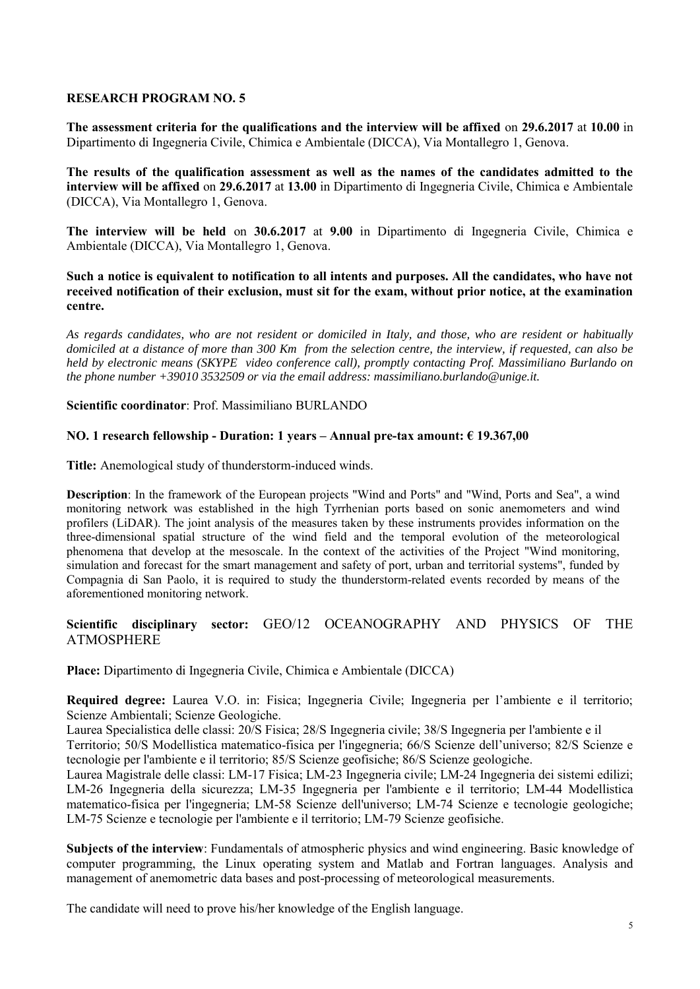**The assessment criteria for the qualifications and the interview will be affixed** on **29.6.2017** at **10.00** in Dipartimento di Ingegneria Civile, Chimica e Ambientale (DICCA), Via Montallegro 1, Genova.

**The results of the qualification assessment as well as the names of the candidates admitted to the interview will be affixed** on **29.6.2017** at **13.00** in Dipartimento di Ingegneria Civile, Chimica e Ambientale (DICCA), Via Montallegro 1, Genova.

**The interview will be held** on **30.6.2017** at **9.00** in Dipartimento di Ingegneria Civile, Chimica e Ambientale (DICCA), Via Montallegro 1, Genova.

### **Such a notice is equivalent to notification to all intents and purposes. All the candidates, who have not received notification of their exclusion, must sit for the exam, without prior notice, at the examination centre.**

*As regards candidates, who are not resident or domiciled in Italy, and those, who are resident or habitually domiciled at a distance of more than 300 Km from the selection centre, the interview, if requested, can also be held by electronic means (SKYPE video conference call), promptly contacting Prof. Massimiliano Burlando on the phone number +39010 3532509 or via the email address: massimiliano.burlando@unige.it.* 

### **Scientific coordinator**: Prof. Massimiliano BURLANDO

### **NO. 1 research fellowship - Duration: 1 years – Annual pre-tax amount: € 19.367,00**

**Title:** Anemological study of thunderstorm-induced winds.

**Description**: In the framework of the European projects "Wind and Ports" and "Wind, Ports and Sea", a wind monitoring network was established in the high Tyrrhenian ports based on sonic anemometers and wind profilers (LiDAR). The joint analysis of the measures taken by these instruments provides information on the three-dimensional spatial structure of the wind field and the temporal evolution of the meteorological phenomena that develop at the mesoscale. In the context of the activities of the Project "Wind monitoring, simulation and forecast for the smart management and safety of port, urban and territorial systems", funded by Compagnia di San Paolo, it is required to study the thunderstorm-related events recorded by means of the aforementioned monitoring network.

# **Scientific disciplinary sector:** GEO/12 OCEANOGRAPHY AND PHYSICS OF THE **ATMOSPHERE**

**Place:** Dipartimento di Ingegneria Civile, Chimica e Ambientale (DICCA)

**Required degree:** Laurea V.O. in: Fisica; Ingegneria Civile; Ingegneria per l'ambiente e il territorio; Scienze Ambientali; Scienze Geologiche.

Laurea Specialistica delle classi: 20/S Fisica; 28/S Ingegneria civile; 38/S Ingegneria per l'ambiente e il Territorio; 50/S Modellistica matematico-fisica per l'ingegneria; 66/S Scienze dell'universo; 82/S Scienze e tecnologie per l'ambiente e il territorio; 85/S Scienze geofisiche; 86/S Scienze geologiche.

Laurea Magistrale delle classi: LM-17 Fisica; LM-23 Ingegneria civile; LM-24 Ingegneria dei sistemi edilizi; LM-26 Ingegneria della sicurezza; LM-35 Ingegneria per l'ambiente e il territorio; LM-44 Modellistica matematico-fisica per l'ingegneria; LM-58 Scienze dell'universo; LM-74 Scienze e tecnologie geologiche; LM-75 Scienze e tecnologie per l'ambiente e il territorio; LM-79 Scienze geofisiche.

**Subjects of the interview**: Fundamentals of atmospheric physics and wind engineering. Basic knowledge of computer programming, the Linux operating system and Matlab and Fortran languages. Analysis and management of anemometric data bases and post-processing of meteorological measurements.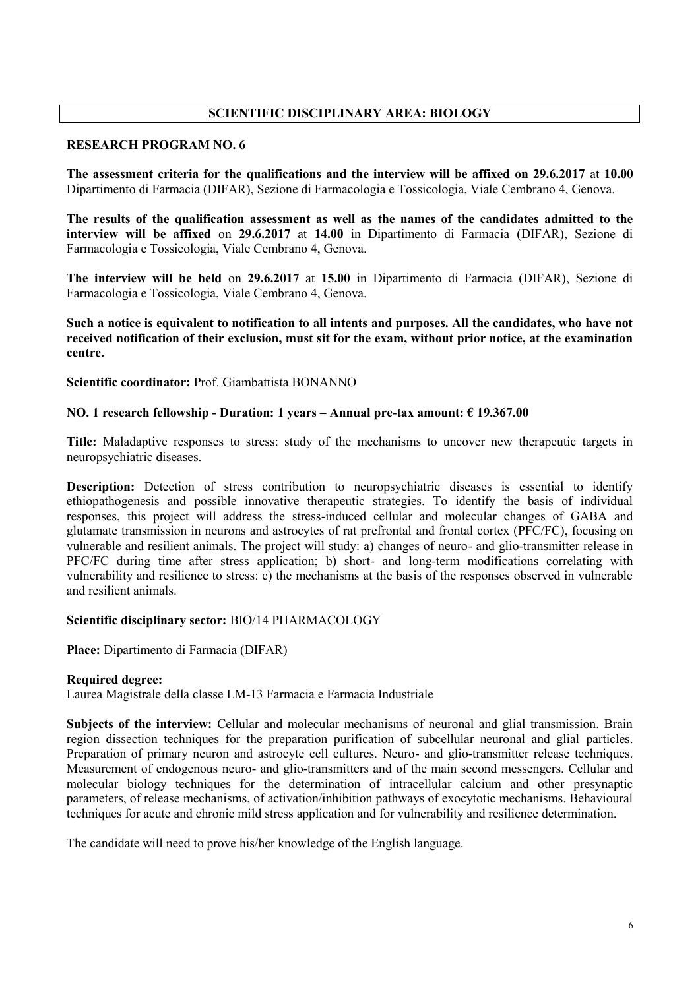# **SCIENTIFIC DISCIPLINARY AREA: BIOLOGY**

### **RESEARCH PROGRAM NO. 6**

**The assessment criteria for the qualifications and the interview will be affixed on 29.6.2017** at **10.00** Dipartimento di Farmacia (DIFAR), Sezione di Farmacologia e Tossicologia, Viale Cembrano 4, Genova.

**The results of the qualification assessment as well as the names of the candidates admitted to the interview will be affixed** on **29.6.2017** at **14.00** in Dipartimento di Farmacia (DIFAR), Sezione di Farmacologia e Tossicologia, Viale Cembrano 4, Genova.

**The interview will be held** on **29.6.2017** at **15.00** in Dipartimento di Farmacia (DIFAR), Sezione di Farmacologia e Tossicologia, Viale Cembrano 4, Genova.

**Such a notice is equivalent to notification to all intents and purposes. All the candidates, who have not received notification of their exclusion, must sit for the exam, without prior notice, at the examination centre.** 

**Scientific coordinator:** Prof. Giambattista BONANNO

#### **NO. 1 research fellowship - Duration: 1 years – Annual pre-tax amount: € 19.367.00**

**Title:** Maladaptive responses to stress: study of the mechanisms to uncover new therapeutic targets in neuropsychiatric diseases.

**Description:** Detection of stress contribution to neuropsychiatric diseases is essential to identify ethiopathogenesis and possible innovative therapeutic strategies. To identify the basis of individual responses, this project will address the stress-induced cellular and molecular changes of GABA and glutamate transmission in neurons and astrocytes of rat prefrontal and frontal cortex (PFC/FC), focusing on vulnerable and resilient animals. The project will study: a) changes of neuro- and glio-transmitter release in PFC/FC during time after stress application; b) short- and long-term modifications correlating with vulnerability and resilience to stress: c) the mechanisms at the basis of the responses observed in vulnerable and resilient animals.

### **Scientific disciplinary sector:** BIO/14 PHARMACOLOGY

**Place:** Dipartimento di Farmacia (DIFAR)

#### **Required degree:**

Laurea Magistrale della classe LM-13 Farmacia e Farmacia Industriale

**Subjects of the interview:** Cellular and molecular mechanisms of neuronal and glial transmission. Brain region dissection techniques for the preparation purification of subcellular neuronal and glial particles. Preparation of primary neuron and astrocyte cell cultures. Neuro- and glio-transmitter release techniques. Measurement of endogenous neuro- and glio-transmitters and of the main second messengers. Cellular and molecular biology techniques for the determination of intracellular calcium and other presynaptic parameters, of release mechanisms, of activation/inhibition pathways of exocytotic mechanisms. Behavioural techniques for acute and chronic mild stress application and for vulnerability and resilience determination.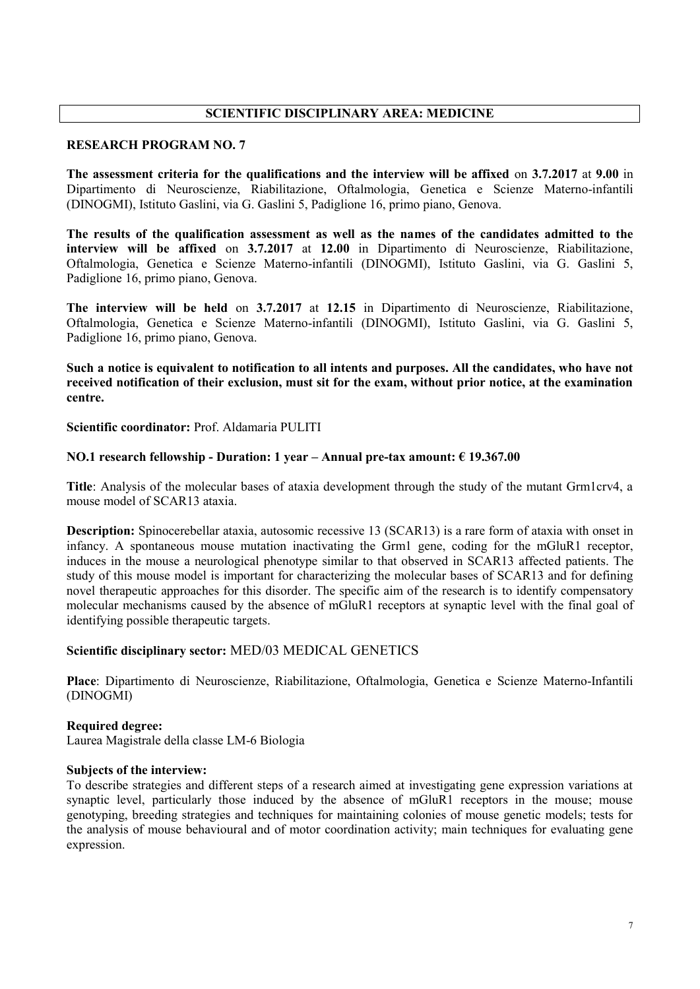# **SCIENTIFIC DISCIPLINARY AREA: MEDICINE**

### **RESEARCH PROGRAM NO. 7**

**The assessment criteria for the qualifications and the interview will be affixed** on **3.7.2017** at **9.00** in Dipartimento di Neuroscienze, Riabilitazione, Oftalmologia, Genetica e Scienze Materno-infantili (DINOGMI), Istituto Gaslini, via G. Gaslini 5, Padiglione 16, primo piano, Genova.

**The results of the qualification assessment as well as the names of the candidates admitted to the interview will be affixed** on **3.7.2017** at **12.00** in Dipartimento di Neuroscienze, Riabilitazione, Oftalmologia, Genetica e Scienze Materno-infantili (DINOGMI), Istituto Gaslini, via G. Gaslini 5, Padiglione 16, primo piano, Genova.

**The interview will be held** on **3.7.2017** at **12.15** in Dipartimento di Neuroscienze, Riabilitazione, Oftalmologia, Genetica e Scienze Materno-infantili (DINOGMI), Istituto Gaslini, via G. Gaslini 5, Padiglione 16, primo piano, Genova.

**Such a notice is equivalent to notification to all intents and purposes. All the candidates, who have not received notification of their exclusion, must sit for the exam, without prior notice, at the examination centre.** 

**Scientific coordinator:** Prof. Aldamaria PULITI

## **NO.1 research fellowship - Duration: 1 year – Annual pre-tax amount: € 19.367.00**

**Title**: Analysis of the molecular bases of ataxia development through the study of the mutant Grm1crv4, a mouse model of SCAR13 ataxia.

**Description:** Spinocerebellar ataxia, autosomic recessive 13 (SCAR13) is a rare form of ataxia with onset in infancy. A spontaneous mouse mutation inactivating the Grm1 gene, coding for the mGluR1 receptor, induces in the mouse a neurological phenotype similar to that observed in SCAR13 affected patients. The study of this mouse model is important for characterizing the molecular bases of SCAR13 and for defining novel therapeutic approaches for this disorder. The specific aim of the research is to identify compensatory molecular mechanisms caused by the absence of mGluR1 receptors at synaptic level with the final goal of identifying possible therapeutic targets.

# **Scientific disciplinary sector:** MED/03 MEDICAL GENETICS

**Place**: Dipartimento di Neuroscienze, Riabilitazione, Oftalmologia, Genetica e Scienze Materno-Infantili (DINOGMI)

### **Required degree:**

Laurea Magistrale della classe LM-6 Biologia

### **Subjects of the interview:**

To describe strategies and different steps of a research aimed at investigating gene expression variations at synaptic level, particularly those induced by the absence of mGluR1 receptors in the mouse; mouse genotyping, breeding strategies and techniques for maintaining colonies of mouse genetic models; tests for the analysis of mouse behavioural and of motor coordination activity; main techniques for evaluating gene expression.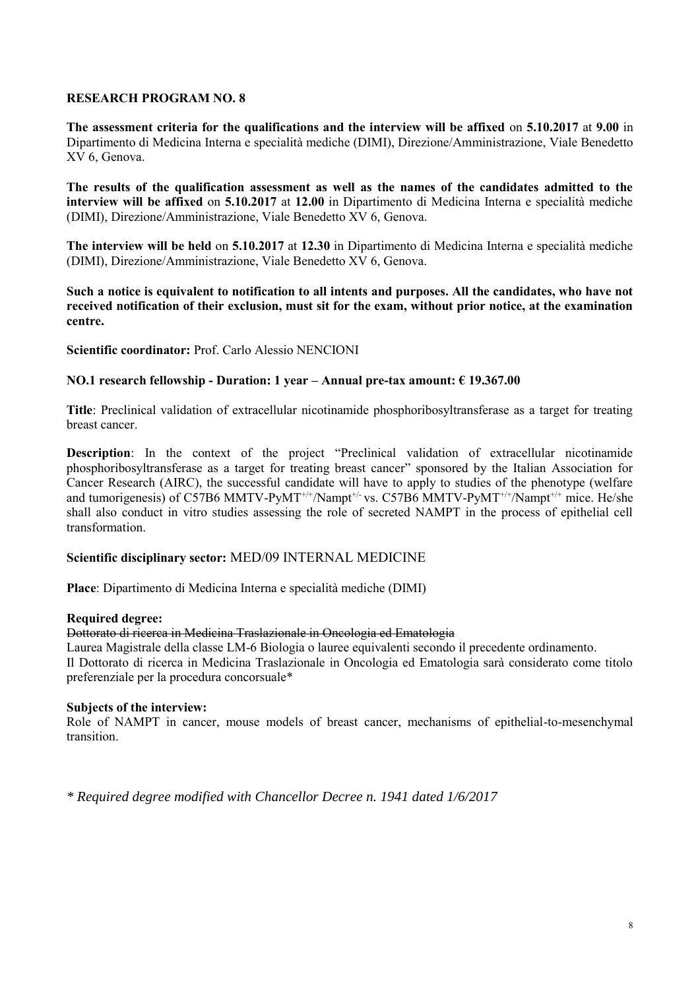**The assessment criteria for the qualifications and the interview will be affixed** on **5.10.2017** at **9.00** in Dipartimento di Medicina Interna e specialità mediche (DIMI), Direzione/Amministrazione, Viale Benedetto XV 6, Genova.

**The results of the qualification assessment as well as the names of the candidates admitted to the interview will be affixed** on **5.10.2017** at **12.00** in Dipartimento di Medicina Interna e specialità mediche (DIMI), Direzione/Amministrazione, Viale Benedetto XV 6, Genova.

**The interview will be held** on **5.10.2017** at **12.30** in Dipartimento di Medicina Interna e specialità mediche (DIMI), Direzione/Amministrazione, Viale Benedetto XV 6, Genova.

**Such a notice is equivalent to notification to all intents and purposes. All the candidates, who have not received notification of their exclusion, must sit for the exam, without prior notice, at the examination centre.** 

**Scientific coordinator:** Prof. Carlo Alessio NENCIONI

### **NO.1 research fellowship - Duration: 1 year – Annual pre-tax amount: € 19.367.00**

**Title**: Preclinical validation of extracellular nicotinamide phosphoribosyltransferase as a target for treating breast cancer.

**Description**: In the context of the project "Preclinical validation of extracellular nicotinamide phosphoribosyltransferase as a target for treating breast cancer" sponsored by the Italian Association for Cancer Research (AIRC), the successful candidate will have to apply to studies of the phenotype (welfare and tumorigenesis) of C57B6 MMTV-PyMT<sup>+/+</sup>/Nampt<sup>+/-</sup> vs. C57B6 MMTV-PyMT<sup>+/+</sup>/Nampt<sup>+/+</sup> mice. He/she shall also conduct in vitro studies assessing the role of secreted NAMPT in the process of epithelial cell transformation.

### **Scientific disciplinary sector:** MED/09 INTERNAL MEDICINE

**Place**: Dipartimento di Medicina Interna e specialità mediche (DIMI)

### **Required degree:**

#### Dottorato di ricerca in Medicina Traslazionale in Oncologia ed Ematologia

Laurea Magistrale della classe LM-6 Biologia o lauree equivalenti secondo il precedente ordinamento. Il Dottorato di ricerca in Medicina Traslazionale in Oncologia ed Ematologia sarà considerato come titolo preferenziale per la procedura concorsuale\*

### **Subjects of the interview:**

Role of NAMPT in cancer, mouse models of breast cancer, mechanisms of epithelial-to-mesenchymal transition.

*\* Required degree modified with Chancellor Decree n. 1941 dated 1/6/2017*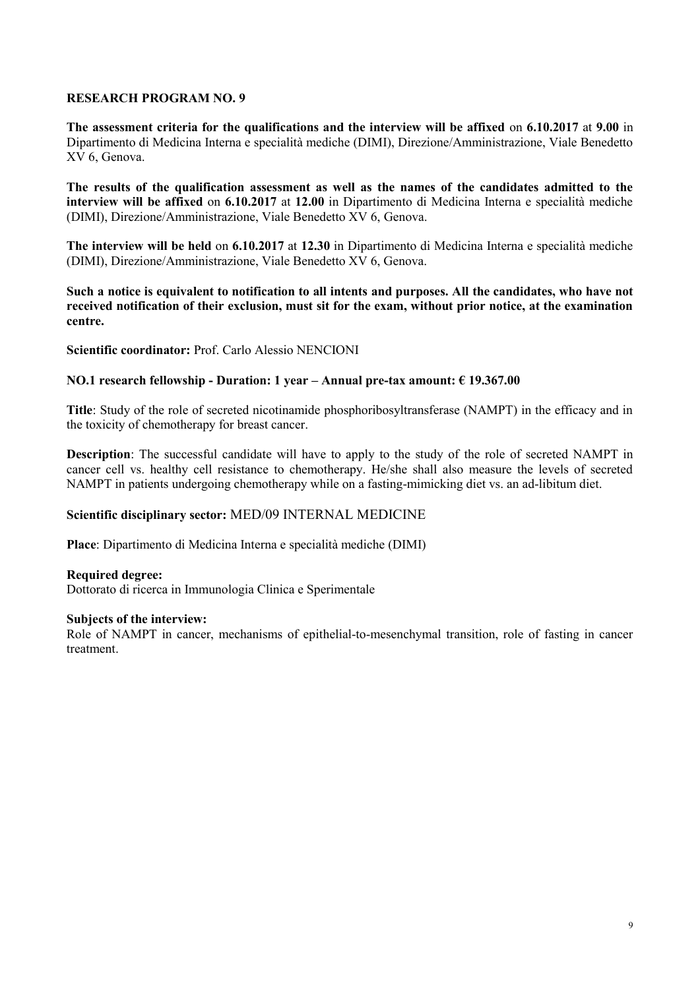**The assessment criteria for the qualifications and the interview will be affixed** on **6.10.2017** at **9.00** in Dipartimento di Medicina Interna e specialità mediche (DIMI), Direzione/Amministrazione, Viale Benedetto XV 6, Genova.

**The results of the qualification assessment as well as the names of the candidates admitted to the interview will be affixed** on **6.10.2017** at **12.00** in Dipartimento di Medicina Interna e specialità mediche (DIMI), Direzione/Amministrazione, Viale Benedetto XV 6, Genova.

**The interview will be held** on **6.10.2017** at **12.30** in Dipartimento di Medicina Interna e specialità mediche (DIMI), Direzione/Amministrazione, Viale Benedetto XV 6, Genova.

**Such a notice is equivalent to notification to all intents and purposes. All the candidates, who have not received notification of their exclusion, must sit for the exam, without prior notice, at the examination centre.** 

**Scientific coordinator:** Prof. Carlo Alessio NENCIONI

### **NO.1 research fellowship - Duration: 1 year – Annual pre-tax amount: € 19.367.00**

**Title**: Study of the role of secreted nicotinamide phosphoribosyltransferase (NAMPT) in the efficacy and in the toxicity of chemotherapy for breast cancer.

**Description**: The successful candidate will have to apply to the study of the role of secreted NAMPT in cancer cell vs. healthy cell resistance to chemotherapy. He/she shall also measure the levels of secreted NAMPT in patients undergoing chemotherapy while on a fasting-mimicking diet vs. an ad-libitum diet.

# **Scientific disciplinary sector:** MED/09 INTERNAL MEDICINE

**Place**: Dipartimento di Medicina Interna e specialità mediche (DIMI)

### **Required degree:**

Dottorato di ricerca in Immunologia Clinica e Sperimentale

### **Subjects of the interview:**

Role of NAMPT in cancer, mechanisms of epithelial-to-mesenchymal transition, role of fasting in cancer treatment.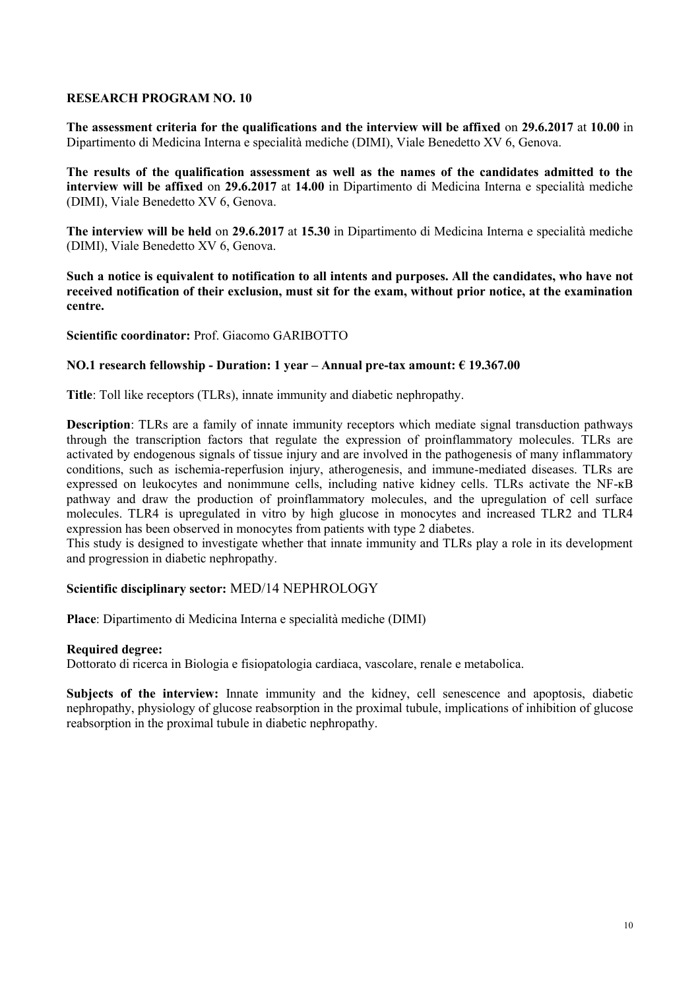**The assessment criteria for the qualifications and the interview will be affixed** on **29.6.2017** at **10.00** in Dipartimento di Medicina Interna e specialità mediche (DIMI), Viale Benedetto XV 6, Genova.

**The results of the qualification assessment as well as the names of the candidates admitted to the interview will be affixed** on **29.6.2017** at **14.00** in Dipartimento di Medicina Interna e specialità mediche (DIMI), Viale Benedetto XV 6, Genova.

**The interview will be held** on **29.6.2017** at **15.30** in Dipartimento di Medicina Interna e specialità mediche (DIMI), Viale Benedetto XV 6, Genova.

**Such a notice is equivalent to notification to all intents and purposes. All the candidates, who have not received notification of their exclusion, must sit for the exam, without prior notice, at the examination centre.** 

**Scientific coordinator:** Prof. Giacomo GARIBOTTO

### **NO.1 research fellowship - Duration: 1 year – Annual pre-tax amount: € 19.367.00**

**Title**: Toll like receptors (TLRs), innate immunity and diabetic nephropathy.

**Description**: TLRs are a family of innate immunity receptors which mediate signal transduction pathways through the transcription factors that regulate the expression of proinflammatory molecules. TLRs are activated by endogenous signals of tissue injury and are involved in the pathogenesis of many inflammatory conditions, such as ischemia-reperfusion injury, atherogenesis, and immune-mediated diseases. TLRs are expressed on leukocytes and nonimmune cells, including native kidney cells. TLRs activate the NF-ĸB pathway and draw the production of proinflammatory molecules, and the upregulation of cell surface molecules. TLR4 is upregulated in vitro by high glucose in monocytes and increased TLR2 and TLR4 expression has been observed in monocytes from patients with type 2 diabetes.

This study is designed to investigate whether that innate immunity and TLRs play a role in its development and progression in diabetic nephropathy.

### **Scientific disciplinary sector:** MED/14 NEPHROLOGY

**Place**: Dipartimento di Medicina Interna e specialità mediche (DIMI)

### **Required degree:**

Dottorato di ricerca in Biologia e fisiopatologia cardiaca, vascolare, renale e metabolica.

Subjects of the interview: Innate immunity and the kidney, cell senescence and apoptosis, diabetic nephropathy, physiology of glucose reabsorption in the proximal tubule, implications of inhibition of glucose reabsorption in the proximal tubule in diabetic nephropathy.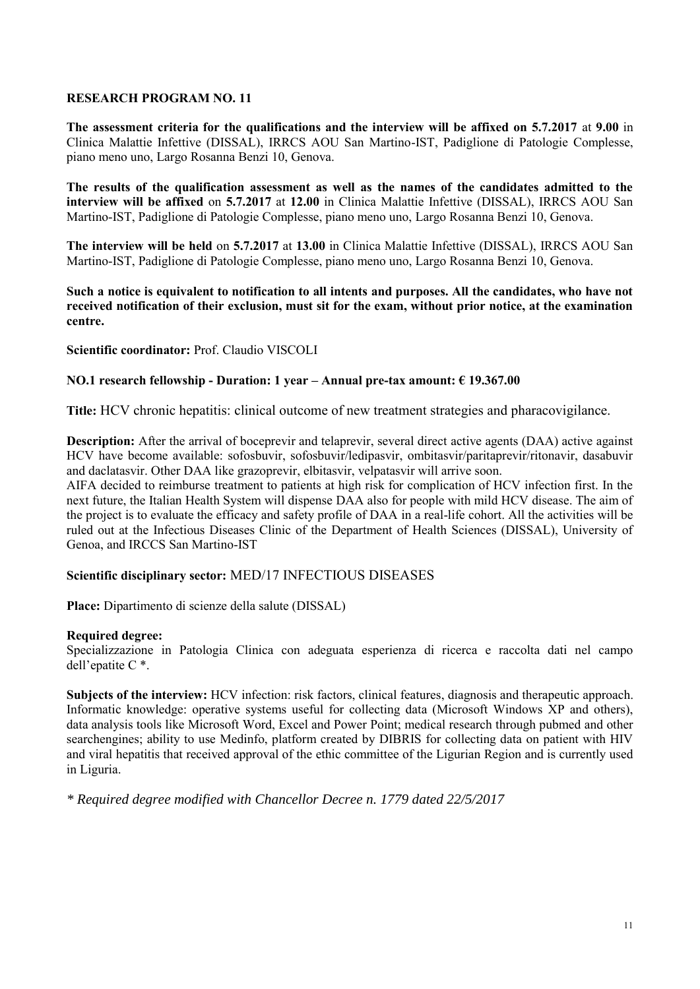**The assessment criteria for the qualifications and the interview will be affixed on 5.7.2017** at **9.00** in Clinica Malattie Infettive (DISSAL), IRRCS AOU San Martino-IST, Padiglione di Patologie Complesse, piano meno uno, Largo Rosanna Benzi 10, Genova.

**The results of the qualification assessment as well as the names of the candidates admitted to the interview will be affixed** on **5.7.2017** at **12.00** in Clinica Malattie Infettive (DISSAL), IRRCS AOU San Martino-IST, Padiglione di Patologie Complesse, piano meno uno, Largo Rosanna Benzi 10, Genova.

**The interview will be held** on **5.7.2017** at **13.00** in Clinica Malattie Infettive (DISSAL), IRRCS AOU San Martino-IST, Padiglione di Patologie Complesse, piano meno uno, Largo Rosanna Benzi 10, Genova.

**Such a notice is equivalent to notification to all intents and purposes. All the candidates, who have not received notification of their exclusion, must sit for the exam, without prior notice, at the examination centre.** 

**Scientific coordinator:** Prof. Claudio VISCOLI

## **NO.1 research fellowship - Duration: 1 year – Annual pre-tax amount: € 19.367.00**

**Title:** HCV chronic hepatitis: clinical outcome of new treatment strategies and pharacovigilance*.*

**Description:** After the arrival of boceprevir and telaprevir, several direct active agents (DAA) active against HCV have become available: sofosbuvir, sofosbuvir/ledipasvir, ombitasvir/paritaprevir/ritonavir, dasabuvir and daclatasvir. Other DAA like grazoprevir, elbitasvir, velpatasvir will arrive soon.

AIFA decided to reimburse treatment to patients at high risk for complication of HCV infection first. In the next future, the Italian Health System will dispense DAA also for people with mild HCV disease. The aim of the project is to evaluate the efficacy and safety profile of DAA in a real-life cohort. All the activities will be ruled out at the Infectious Diseases Clinic of the Department of Health Sciences (DISSAL), University of Genoa, and IRCCS San Martino-IST

# **Scientific disciplinary sector:** MED/17 INFECTIOUS DISEASES

**Place:** Dipartimento di scienze della salute (DISSAL)

### **Required degree:**

Specializzazione in Patologia Clinica con adeguata esperienza di ricerca e raccolta dati nel campo dell'epatite C \*.

**Subjects of the interview:** HCV infection: risk factors, clinical features, diagnosis and therapeutic approach. Informatic knowledge: operative systems useful for collecting data (Microsoft Windows XP and others), data analysis tools like Microsoft Word, Excel and Power Point; medical research through pubmed and other searchengines; ability to use Medinfo, platform created by DIBRIS for collecting data on patient with HIV and viral hepatitis that received approval of the ethic committee of the Ligurian Region and is currently used in Liguria.

*\* Required degree modified with Chancellor Decree n. 1779 dated 22/5/2017*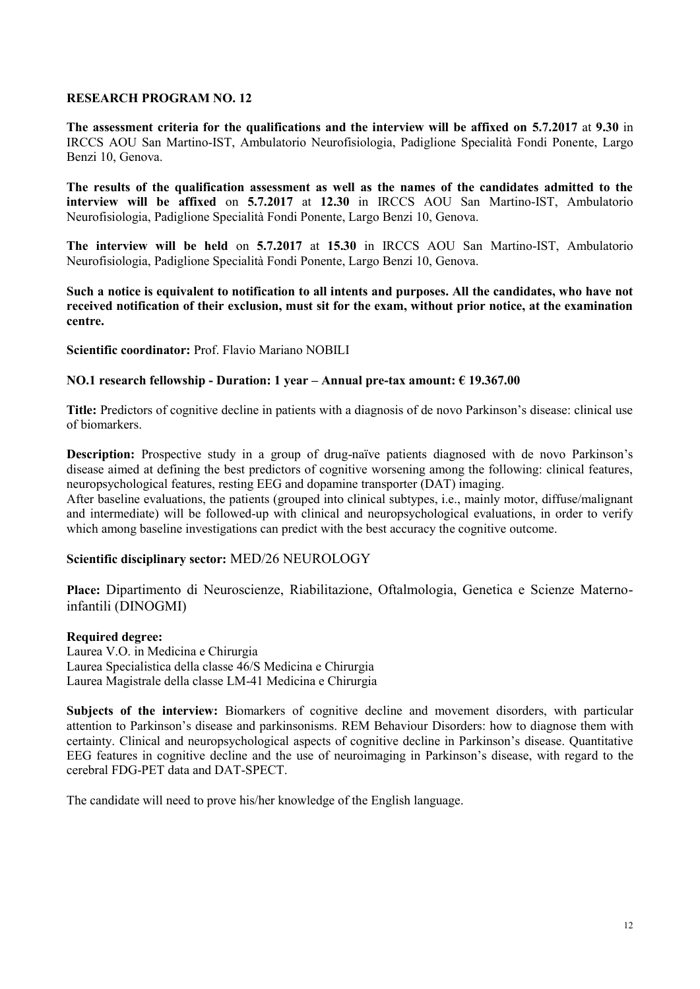**The assessment criteria for the qualifications and the interview will be affixed on 5.7.2017** at **9.30** in IRCCS AOU San Martino-IST, Ambulatorio Neurofisiologia, Padiglione Specialità Fondi Ponente, Largo Benzi 10, Genova.

**The results of the qualification assessment as well as the names of the candidates admitted to the interview will be affixed** on **5.7.2017** at **12.30** in IRCCS AOU San Martino-IST, Ambulatorio Neurofisiologia, Padiglione Specialità Fondi Ponente, Largo Benzi 10, Genova.

**The interview will be held** on **5.7.2017** at **15.30** in IRCCS AOU San Martino-IST, Ambulatorio Neurofisiologia, Padiglione Specialità Fondi Ponente, Largo Benzi 10, Genova.

**Such a notice is equivalent to notification to all intents and purposes. All the candidates, who have not received notification of their exclusion, must sit for the exam, without prior notice, at the examination centre.** 

**Scientific coordinator:** Prof. Flavio Mariano NOBILI

### **NO.1 research fellowship - Duration: 1 year – Annual pre-tax amount: € 19.367.00**

**Title:** Predictors of cognitive decline in patients with a diagnosis of de novo Parkinson's disease: clinical use of biomarkers.

**Description:** Prospective study in a group of drug-naïve patients diagnosed with de novo Parkinson's disease aimed at defining the best predictors of cognitive worsening among the following: clinical features, neuropsychological features, resting EEG and dopamine transporter (DAT) imaging.

After baseline evaluations, the patients (grouped into clinical subtypes, i.e., mainly motor, diffuse/malignant and intermediate) will be followed-up with clinical and neuropsychological evaluations, in order to verify which among baseline investigations can predict with the best accuracy the cognitive outcome.

### **Scientific disciplinary sector:** MED/26 NEUROLOGY

**Place:** Dipartimento di Neuroscienze, Riabilitazione, Oftalmologia, Genetica e Scienze Maternoinfantili (DINOGMI)

### **Required degree:**

Laurea V.O. in Medicina e Chirurgia Laurea Specialistica della classe 46/S Medicina e Chirurgia Laurea Magistrale della classe LM-41 Medicina e Chirurgia

**Subjects of the interview:** Biomarkers of cognitive decline and movement disorders, with particular attention to Parkinson's disease and parkinsonisms. REM Behaviour Disorders: how to diagnose them with certainty. Clinical and neuropsychological aspects of cognitive decline in Parkinson's disease. Quantitative EEG features in cognitive decline and the use of neuroimaging in Parkinson's disease, with regard to the cerebral FDG-PET data and DAT-SPECT.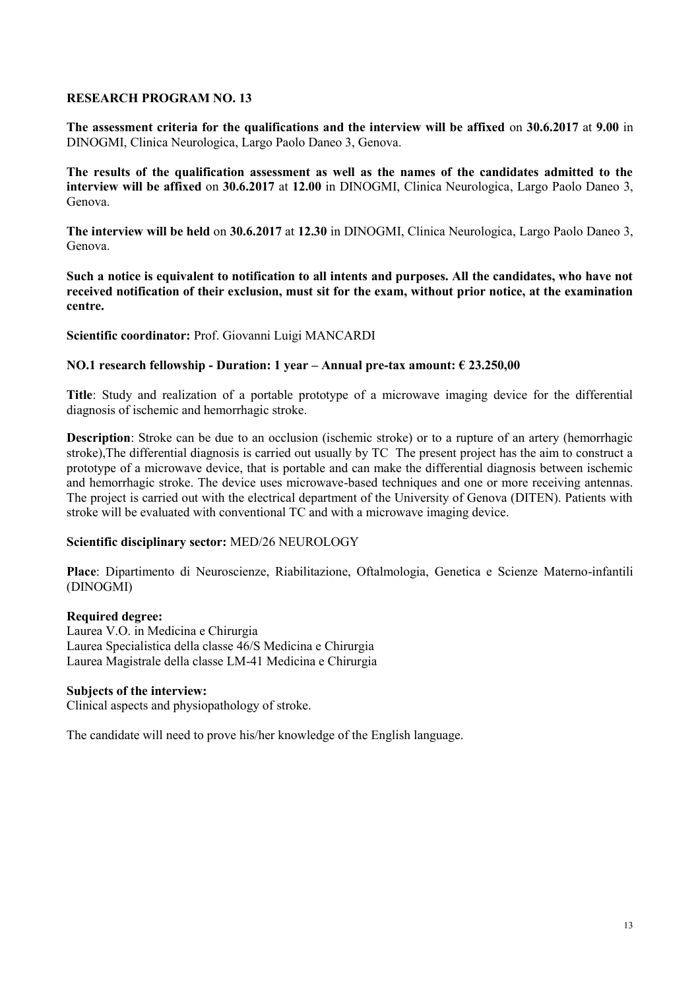**The assessment criteria for the qualifications and the interview will be affixed** on **30.6.2017** at **9.00** in DINOGMI, Clinica Neurologica, Largo Paolo Daneo 3, Genova.

**The results of the qualification assessment as well as the names of the candidates admitted to the interview will be affixed** on **30.6.2017** at **12.00** in DINOGMI, Clinica Neurologica, Largo Paolo Daneo 3, Genova.

**The interview will be held** on **30.6.2017** at **12.30** in DINOGMI, Clinica Neurologica, Largo Paolo Daneo 3, Genova.

**Such a notice is equivalent to notification to all intents and purposes. All the candidates, who have not received notification of their exclusion, must sit for the exam, without prior notice, at the examination centre.** 

**Scientific coordinator:** Prof. Giovanni Luigi MANCARDI

### **NO.1 research fellowship - Duration: 1 year – Annual pre-tax amount: € 23.250,00**

**Title**: Study and realization of a portable prototype of a microwave imaging device for the differential diagnosis of ischemic and hemorrhagic stroke.

**Description**: Stroke can be due to an occlusion (ischemic stroke) or to a rupture of an artery (hemorrhagic stroke),The differential diagnosis is carried out usually by TC The present project has the aim to construct a prototype of a microwave device, that is portable and can make the differential diagnosis between ischemic and hemorrhagic stroke. The device uses microwave-based techniques and one or more receiving antennas. The project is carried out with the electrical department of the University of Genova (DITEN). Patients with stroke will be evaluated with conventional TC and with a microwave imaging device.

### **Scientific disciplinary sector:** MED/26 NEUROLOGY

**Place**: Dipartimento di Neuroscienze, Riabilitazione, Oftalmologia, Genetica e Scienze Materno-infantili (DINOGMI)

### **Required degree:**

Laurea V.O. in Medicina e Chirurgia Laurea Specialistica della classe 46/S Medicina e Chirurgia Laurea Magistrale della classe LM-41 Medicina e Chirurgia

### **Subjects of the interview:**

Clinical aspects and physiopathology of stroke.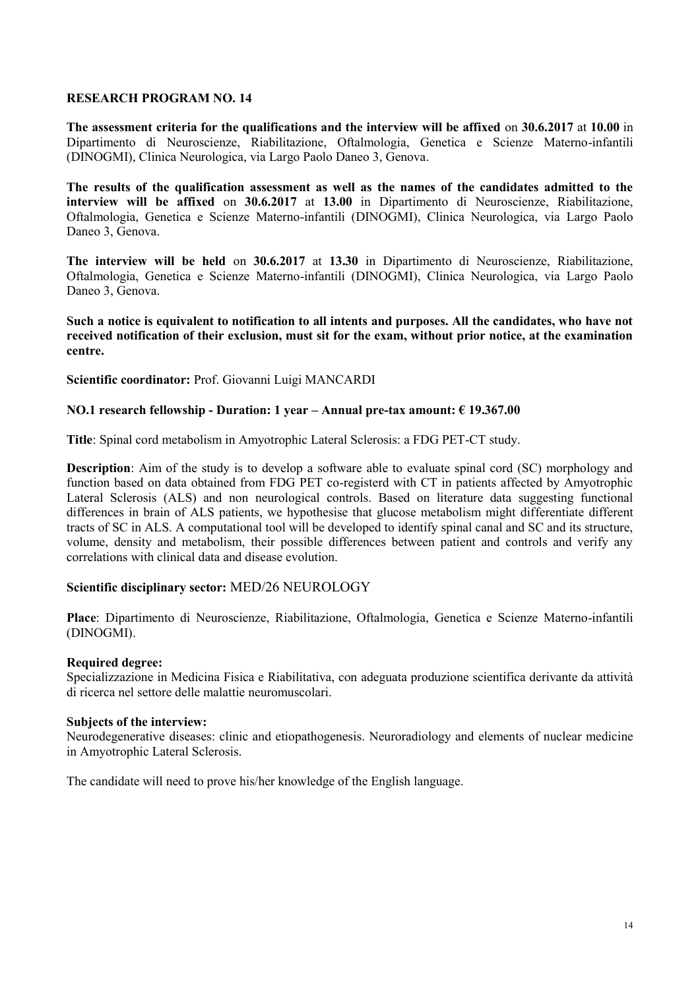**The assessment criteria for the qualifications and the interview will be affixed** on **30.6.2017** at **10.00** in Dipartimento di Neuroscienze, Riabilitazione, Oftalmologia, Genetica e Scienze Materno-infantili (DINOGMI), Clinica Neurologica, via Largo Paolo Daneo 3, Genova.

**The results of the qualification assessment as well as the names of the candidates admitted to the interview will be affixed** on **30.6.2017** at **13.00** in Dipartimento di Neuroscienze, Riabilitazione, Oftalmologia, Genetica e Scienze Materno-infantili (DINOGMI), Clinica Neurologica, via Largo Paolo Daneo 3, Genova.

**The interview will be held** on **30.6.2017** at **13.30** in Dipartimento di Neuroscienze, Riabilitazione, Oftalmologia, Genetica e Scienze Materno-infantili (DINOGMI), Clinica Neurologica, via Largo Paolo Daneo 3, Genova.

**Such a notice is equivalent to notification to all intents and purposes. All the candidates, who have not received notification of their exclusion, must sit for the exam, without prior notice, at the examination centre.** 

#### **Scientific coordinator:** Prof. Giovanni Luigi MANCARDI

#### **NO.1 research fellowship - Duration: 1 year – Annual pre-tax amount: € 19.367.00**

**Title**: Spinal cord metabolism in Amyotrophic Lateral Sclerosis: a FDG PET-CT study.

**Description**: Aim of the study is to develop a software able to evaluate spinal cord (SC) morphology and function based on data obtained from FDG PET co-registerd with CT in patients affected by Amyotrophic Lateral Sclerosis (ALS) and non neurological controls. Based on literature data suggesting functional differences in brain of ALS patients, we hypothesise that glucose metabolism might differentiate different tracts of SC in ALS. A computational tool will be developed to identify spinal canal and SC and its structure, volume, density and metabolism, their possible differences between patient and controls and verify any correlations with clinical data and disease evolution.

### **Scientific disciplinary sector:** MED/26 NEUROLOGY

**Place**: Dipartimento di Neuroscienze, Riabilitazione, Oftalmologia, Genetica e Scienze Materno-infantili (DINOGMI).

#### **Required degree:**

Specializzazione in Medicina Fisica e Riabilitativa, con adeguata produzione scientifica derivante da attività di ricerca nel settore delle malattie neuromuscolari.

#### **Subjects of the interview:**

Neurodegenerative diseases: clinic and etiopathogenesis. Neuroradiology and elements of nuclear medicine in Amyotrophic Lateral Sclerosis.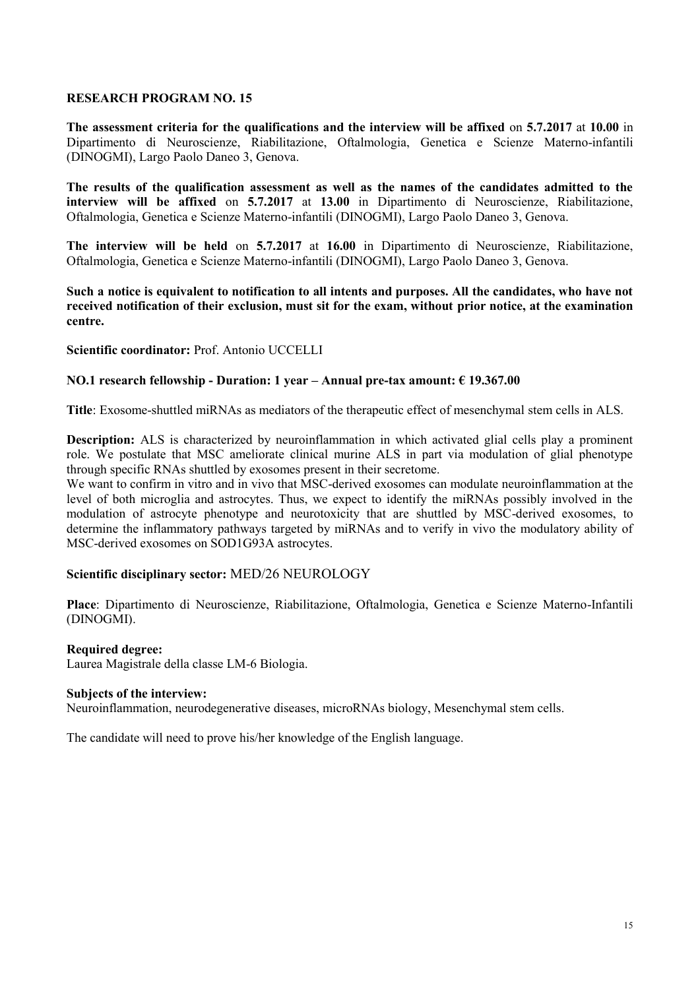**The assessment criteria for the qualifications and the interview will be affixed** on **5.7.2017** at **10.00** in Dipartimento di Neuroscienze, Riabilitazione, Oftalmologia, Genetica e Scienze Materno-infantili (DINOGMI), Largo Paolo Daneo 3, Genova.

**The results of the qualification assessment as well as the names of the candidates admitted to the interview will be affixed** on **5.7.2017** at **13.00** in Dipartimento di Neuroscienze, Riabilitazione, Oftalmologia, Genetica e Scienze Materno-infantili (DINOGMI), Largo Paolo Daneo 3, Genova.

**The interview will be held** on **5.7.2017** at **16.00** in Dipartimento di Neuroscienze, Riabilitazione, Oftalmologia, Genetica e Scienze Materno-infantili (DINOGMI), Largo Paolo Daneo 3, Genova.

**Such a notice is equivalent to notification to all intents and purposes. All the candidates, who have not received notification of their exclusion, must sit for the exam, without prior notice, at the examination centre.** 

**Scientific coordinator:** Prof. Antonio UCCELLI

## **NO.1 research fellowship - Duration: 1 year – Annual pre-tax amount: € 19.367.00**

**Title**: Exosome-shuttled miRNAs as mediators of the therapeutic effect of mesenchymal stem cells in ALS.

**Description:** ALS is characterized by neuroinflammation in which activated glial cells play a prominent role. We postulate that MSC ameliorate clinical murine ALS in part via modulation of glial phenotype through specific RNAs shuttled by exosomes present in their secretome.

We want to confirm in vitro and in vivo that MSC-derived exosomes can modulate neuroinflammation at the level of both microglia and astrocytes. Thus, we expect to identify the miRNAs possibly involved in the modulation of astrocyte phenotype and neurotoxicity that are shuttled by MSC-derived exosomes, to determine the inflammatory pathways targeted by miRNAs and to verify in vivo the modulatory ability of MSC-derived exosomes on SOD1G93A astrocytes.

### **Scientific disciplinary sector:** MED/26 NEUROLOGY

**Place**: Dipartimento di Neuroscienze, Riabilitazione, Oftalmologia, Genetica e Scienze Materno-Infantili (DINOGMI).

### **Required degree:**

Laurea Magistrale della classe LM-6 Biologia.

### **Subjects of the interview:**

Neuroinflammation, neurodegenerative diseases, microRNAs biology, Mesenchymal stem cells.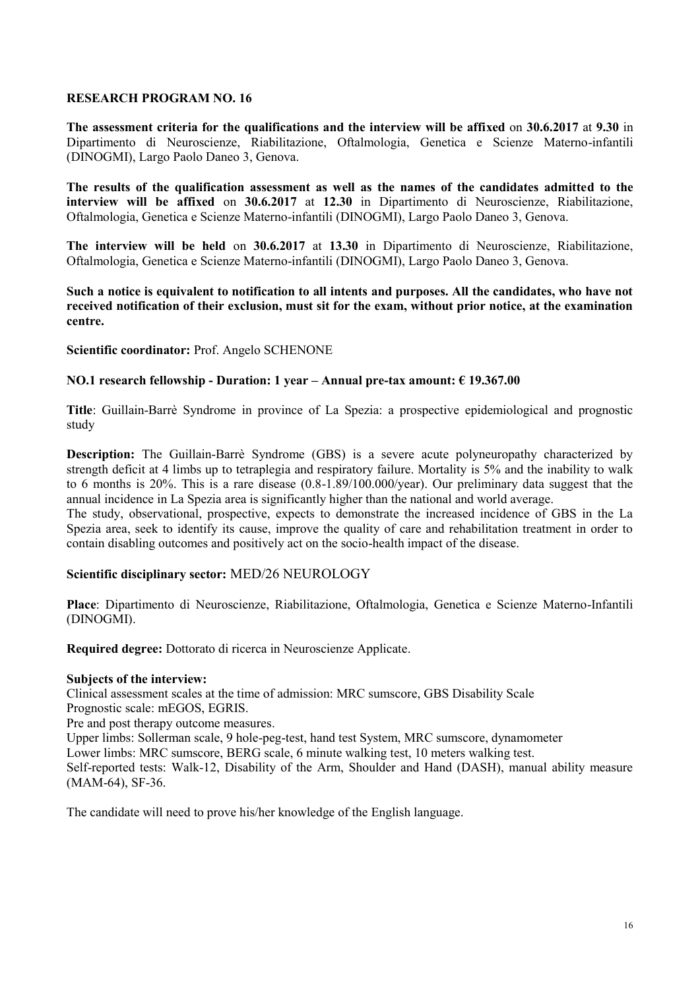**The assessment criteria for the qualifications and the interview will be affixed** on **30.6.2017** at **9.30** in Dipartimento di Neuroscienze, Riabilitazione, Oftalmologia, Genetica e Scienze Materno-infantili (DINOGMI), Largo Paolo Daneo 3, Genova.

**The results of the qualification assessment as well as the names of the candidates admitted to the interview will be affixed** on **30.6.2017** at **12.30** in Dipartimento di Neuroscienze, Riabilitazione, Oftalmologia, Genetica e Scienze Materno-infantili (DINOGMI), Largo Paolo Daneo 3, Genova.

**The interview will be held** on **30.6.2017** at **13.30** in Dipartimento di Neuroscienze, Riabilitazione, Oftalmologia, Genetica e Scienze Materno-infantili (DINOGMI), Largo Paolo Daneo 3, Genova.

**Such a notice is equivalent to notification to all intents and purposes. All the candidates, who have not received notification of their exclusion, must sit for the exam, without prior notice, at the examination centre.** 

**Scientific coordinator:** Prof. Angelo SCHENONE

### **NO.1 research fellowship - Duration: 1 year – Annual pre-tax amount: € 19.367.00**

**Title**: Guillain-Barrè Syndrome in province of La Spezia: a prospective epidemiological and prognostic study

**Description:** The Guillain-Barrè Syndrome (GBS) is a severe acute polyneuropathy characterized by strength deficit at 4 limbs up to tetraplegia and respiratory failure. Mortality is 5% and the inability to walk to 6 months is 20%. This is a rare disease (0.8-1.89/100.000/year). Our preliminary data suggest that the annual incidence in La Spezia area is significantly higher than the national and world average.

The study, observational, prospective, expects to demonstrate the increased incidence of GBS in the La Spezia area, seek to identify its cause, improve the quality of care and rehabilitation treatment in order to contain disabling outcomes and positively act on the socio-health impact of the disease.

### **Scientific disciplinary sector:** MED/26 NEUROLOGY

**Place**: Dipartimento di Neuroscienze, Riabilitazione, Oftalmologia, Genetica e Scienze Materno-Infantili (DINOGMI).

**Required degree:** Dottorato di ricerca in Neuroscienze Applicate.

### **Subjects of the interview:**

Clinical assessment scales at the time of admission: MRC sumscore, GBS Disability Scale Prognostic scale: mEGOS, EGRIS.

Pre and post therapy outcome measures.

Upper limbs: Sollerman scale, 9 hole-peg-test, hand test System, MRC sumscore, dynamometer Lower limbs: MRC sumscore, BERG scale, 6 minute walking test, 10 meters walking test.

Self-reported tests: Walk-12, Disability of the Arm, Shoulder and Hand (DASH), manual ability measure (MAM-64), SF-36.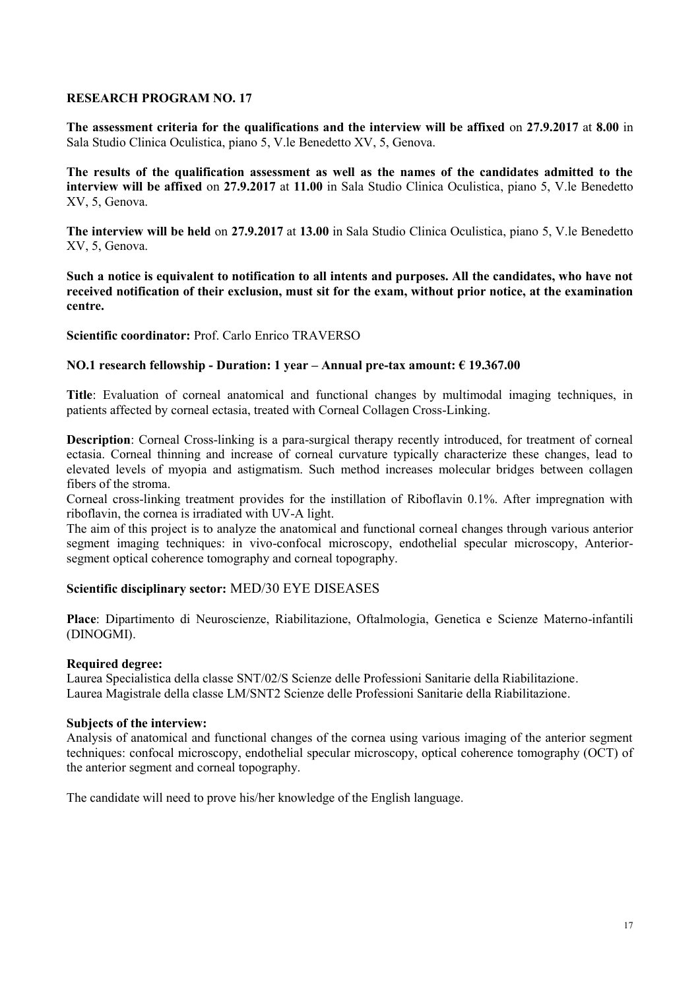**The assessment criteria for the qualifications and the interview will be affixed** on **27.9.2017** at **8.00** in Sala Studio Clinica Oculistica, piano 5, V.le Benedetto XV, 5, Genova.

**The results of the qualification assessment as well as the names of the candidates admitted to the interview will be affixed** on **27.9.2017** at **11.00** in Sala Studio Clinica Oculistica, piano 5, V.le Benedetto XV, 5, Genova.

**The interview will be held** on **27.9.2017** at **13.00** in Sala Studio Clinica Oculistica, piano 5, V.le Benedetto XV, 5, Genova.

**Such a notice is equivalent to notification to all intents and purposes. All the candidates, who have not received notification of their exclusion, must sit for the exam, without prior notice, at the examination centre.** 

**Scientific coordinator:** Prof. Carlo Enrico TRAVERSO

### **NO.1 research fellowship - Duration: 1 year – Annual pre-tax amount: € 19.367.00**

**Title**: Evaluation of corneal anatomical and functional changes by multimodal imaging techniques, in patients affected by corneal ectasia, treated with Corneal Collagen Cross-Linking.

**Description**: Corneal Cross-linking is a para-surgical therapy recently introduced, for treatment of corneal ectasia. Corneal thinning and increase of corneal curvature typically characterize these changes, lead to elevated levels of myopia and astigmatism. Such method increases molecular bridges between collagen fibers of the stroma.

Corneal cross-linking treatment provides for the instillation of Riboflavin 0.1%. After impregnation with riboflavin, the cornea is irradiated with UV-A light.

The aim of this project is to analyze the anatomical and functional corneal changes through various anterior segment imaging techniques: in vivo-confocal microscopy, endothelial specular microscopy, Anteriorsegment optical coherence tomography and corneal topography.

### **Scientific disciplinary sector:** MED/30 EYE DISEASES

**Place**: Dipartimento di Neuroscienze, Riabilitazione, Oftalmologia, Genetica e Scienze Materno-infantili (DINOGMI).

### **Required degree:**

Laurea Specialistica della classe SNT/02/S Scienze delle Professioni Sanitarie della Riabilitazione. Laurea Magistrale della classe LM/SNT2 Scienze delle Professioni Sanitarie della Riabilitazione.

### **Subjects of the interview:**

Analysis of anatomical and functional changes of the cornea using various imaging of the anterior segment techniques: confocal microscopy, endothelial specular microscopy, optical coherence tomography (OCT) of the anterior segment and corneal topography.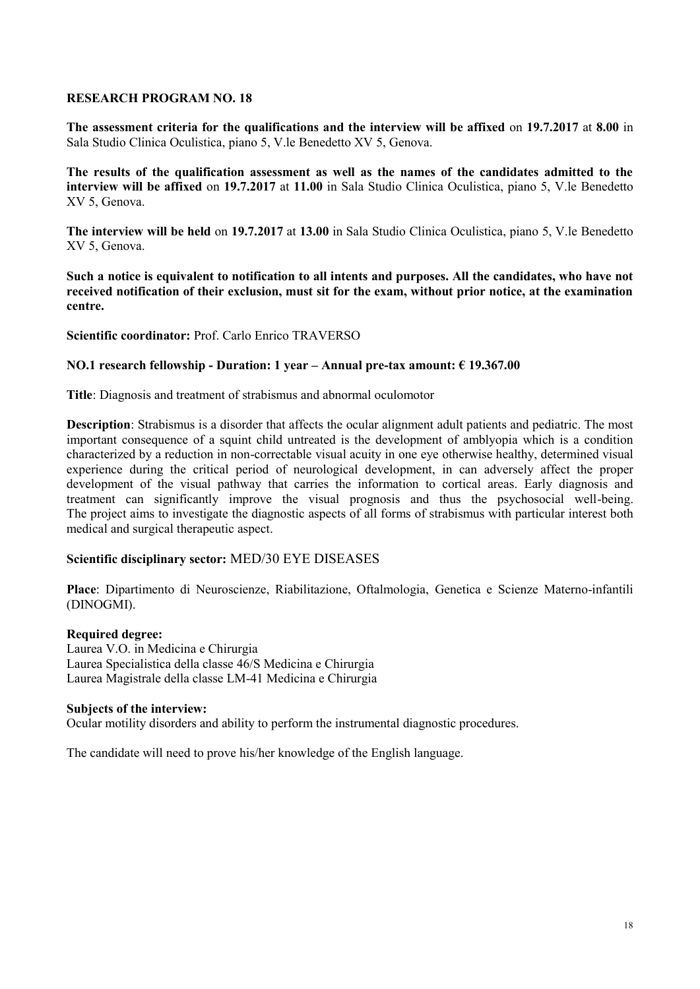**The assessment criteria for the qualifications and the interview will be affixed** on **19.7.2017** at **8.00** in Sala Studio Clinica Oculistica, piano 5, V.le Benedetto XV 5, Genova.

**The results of the qualification assessment as well as the names of the candidates admitted to the interview will be affixed** on **19.7.2017** at **11.00** in Sala Studio Clinica Oculistica, piano 5, V.le Benedetto XV 5, Genova.

**The interview will be held** on **19.7.2017** at **13.00** in Sala Studio Clinica Oculistica, piano 5, V.le Benedetto XV 5, Genova.

**Such a notice is equivalent to notification to all intents and purposes. All the candidates, who have not received notification of their exclusion, must sit for the exam, without prior notice, at the examination centre.** 

**Scientific coordinator:** Prof. Carlo Enrico TRAVERSO

### **NO.1 research fellowship - Duration: 1 year – Annual pre-tax amount: € 19.367.00**

**Title**: Diagnosis and treatment of strabismus and abnormal oculomotor

**Description**: Strabismus is a disorder that affects the ocular alignment adult patients and pediatric. The most important consequence of a squint child untreated is the development of amblyopia which is a condition characterized by a reduction in non-correctable visual acuity in one eye otherwise healthy, determined visual experience during the critical period of neurological development, in can adversely affect the proper development of the visual pathway that carries the information to cortical areas. Early diagnosis and treatment can significantly improve the visual prognosis and thus the psychosocial well-being. The project aims to investigate the diagnostic aspects of all forms of strabismus with particular interest both medical and surgical therapeutic aspect.

### **Scientific disciplinary sector:** MED/30 EYE DISEASES

**Place**: Dipartimento di Neuroscienze, Riabilitazione, Oftalmologia, Genetica e Scienze Materno-infantili (DINOGMI).

### **Required degree:**

Laurea V.O. in Medicina e Chirurgia Laurea Specialistica della classe 46/S Medicina e Chirurgia Laurea Magistrale della classe LM-41 Medicina e Chirurgia

### **Subjects of the interview:**

Ocular motility disorders and ability to perform the instrumental diagnostic procedures.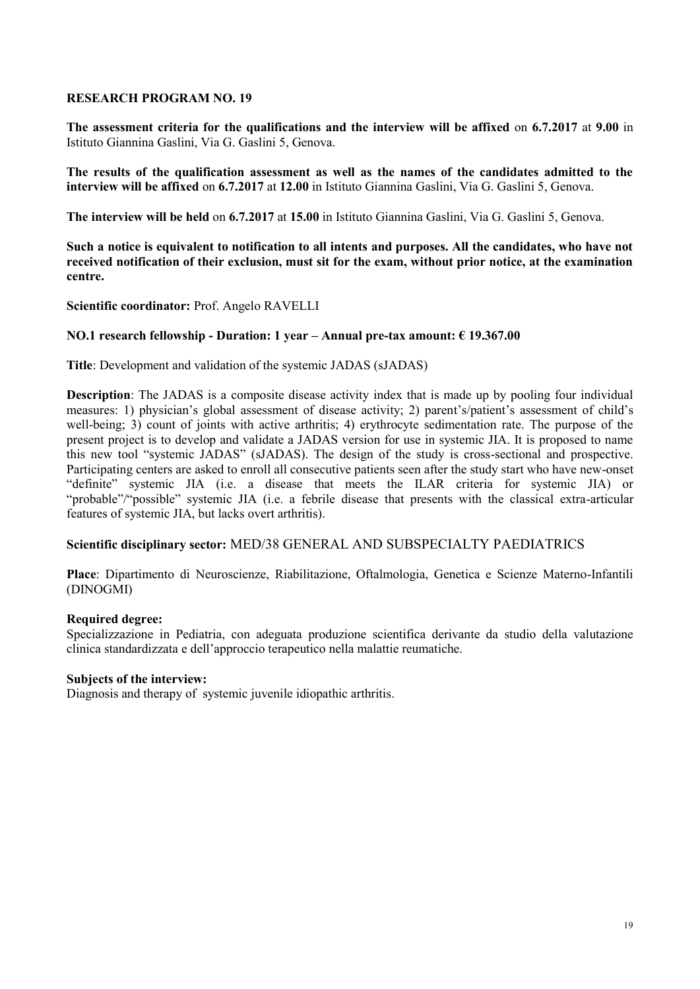**The assessment criteria for the qualifications and the interview will be affixed** on **6.7.2017** at **9.00** in Istituto Giannina Gaslini, Via G. Gaslini 5, Genova.

**The results of the qualification assessment as well as the names of the candidates admitted to the interview will be affixed** on **6.7.2017** at **12.00** in Istituto Giannina Gaslini, Via G. Gaslini 5, Genova.

**The interview will be held** on **6.7.2017** at **15.00** in Istituto Giannina Gaslini, Via G. Gaslini 5, Genova.

**Such a notice is equivalent to notification to all intents and purposes. All the candidates, who have not received notification of their exclusion, must sit for the exam, without prior notice, at the examination centre.** 

**Scientific coordinator:** Prof. Angelo RAVELLI

## **NO.1 research fellowship - Duration: 1 year – Annual pre-tax amount: € 19.367.00**

**Title**: Development and validation of the systemic JADAS (sJADAS)

**Description**: The JADAS is a composite disease activity index that is made up by pooling four individual measures: 1) physician's global assessment of disease activity; 2) parent's/patient's assessment of child's well-being; 3) count of joints with active arthritis; 4) erythrocyte sedimentation rate. The purpose of the present project is to develop and validate a JADAS version for use in systemic JIA. It is proposed to name this new tool "systemic JADAS" (sJADAS). The design of the study is cross-sectional and prospective. Participating centers are asked to enroll all consecutive patients seen after the study start who have new-onset "definite" systemic JIA (i.e. a disease that meets the ILAR criteria for systemic JIA) or "probable"/"possible" systemic JIA (i.e. a febrile disease that presents with the classical extra-articular features of systemic JIA, but lacks overt arthritis).

### **Scientific disciplinary sector:** MED/38 GENERAL AND SUBSPECIALTY PAEDIATRICS

**Place**: Dipartimento di Neuroscienze, Riabilitazione, Oftalmologia, Genetica e Scienze Materno-Infantili (DINOGMI)

### **Required degree:**

Specializzazione in Pediatria, con adeguata produzione scientifica derivante da studio della valutazione clinica standardizzata e dell'approccio terapeutico nella malattie reumatiche.

### **Subjects of the interview:**

Diagnosis and therapy of systemic juvenile idiopathic arthritis.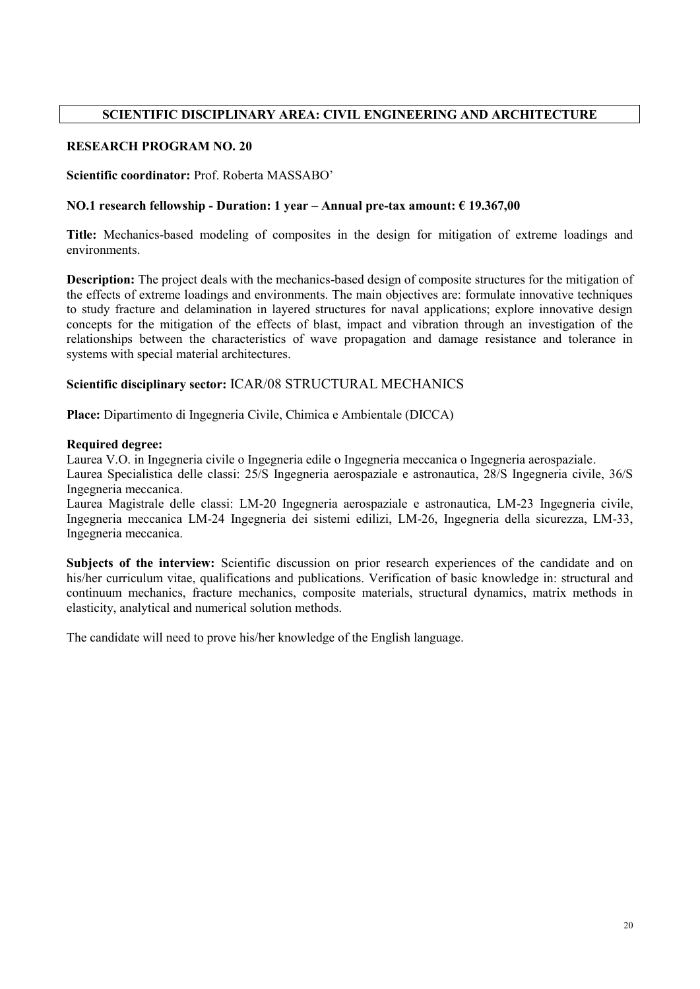# **SCIENTIFIC DISCIPLINARY AREA: CIVIL ENGINEERING AND ARCHITECTURE**

### **RESEARCH PROGRAM NO. 20**

**Scientific coordinator:** Prof. Roberta MASSABO'

## **NO.1 research fellowship - Duration: 1 year – Annual pre-tax amount: € 19.367,00**

**Title:** Mechanics-based modeling of composites in the design for mitigation of extreme loadings and environments.

**Description:** The project deals with the mechanics-based design of composite structures for the mitigation of the effects of extreme loadings and environments. The main objectives are: formulate innovative techniques to study fracture and delamination in layered structures for naval applications; explore innovative design concepts for the mitigation of the effects of blast, impact and vibration through an investigation of the relationships between the characteristics of wave propagation and damage resistance and tolerance in systems with special material architectures.

## **Scientific disciplinary sector:** ICAR/08 STRUCTURAL MECHANICS

**Place:** Dipartimento di Ingegneria Civile, Chimica e Ambientale (DICCA)

### **Required degree:**

Laurea V.O. in Ingegneria civile o Ingegneria edile o Ingegneria meccanica o Ingegneria aerospaziale.

Laurea Specialistica delle classi: 25/S Ingegneria aerospaziale e astronautica, 28/S Ingegneria civile, 36/S Ingegneria meccanica.

Laurea Magistrale delle classi: LM-20 Ingegneria aerospaziale e astronautica, LM-23 Ingegneria civile, Ingegneria meccanica LM-24 Ingegneria dei sistemi edilizi, LM-26, Ingegneria della sicurezza, LM-33, Ingegneria meccanica.

**Subjects of the interview:** Scientific discussion on prior research experiences of the candidate and on his/her curriculum vitae, qualifications and publications. Verification of basic knowledge in: structural and continuum mechanics, fracture mechanics, composite materials, structural dynamics, matrix methods in elasticity, analytical and numerical solution methods.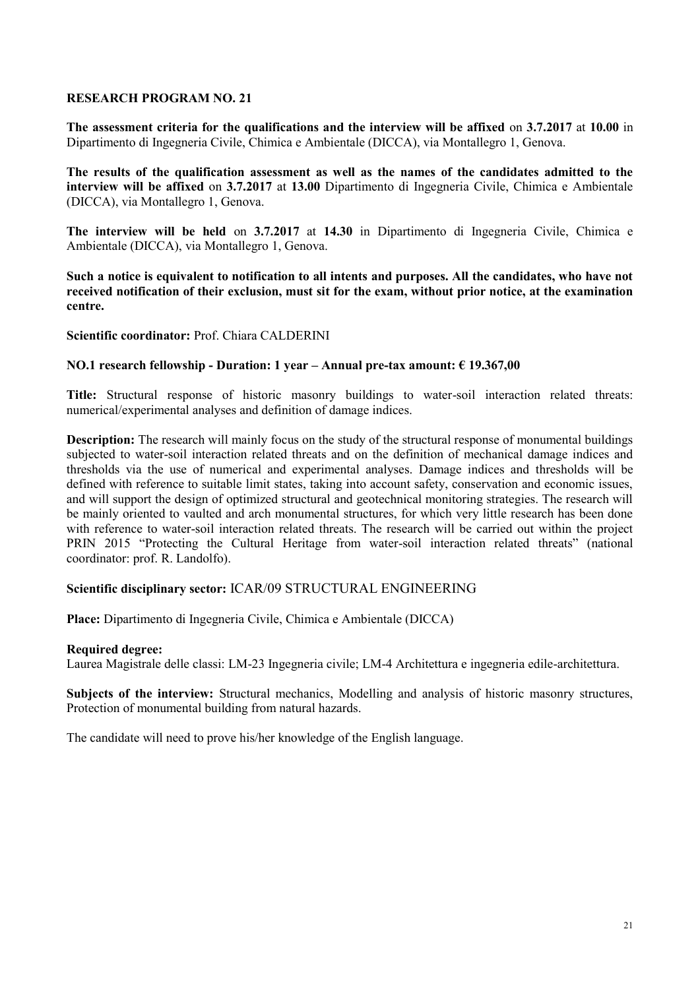**The assessment criteria for the qualifications and the interview will be affixed** on **3.7.2017** at **10.00** in Dipartimento di Ingegneria Civile, Chimica e Ambientale (DICCA), via Montallegro 1, Genova.

**The results of the qualification assessment as well as the names of the candidates admitted to the interview will be affixed** on **3.7.2017** at **13.00** Dipartimento di Ingegneria Civile, Chimica e Ambientale (DICCA), via Montallegro 1, Genova.

**The interview will be held** on **3.7.2017** at **14.30** in Dipartimento di Ingegneria Civile, Chimica e Ambientale (DICCA), via Montallegro 1, Genova.

**Such a notice is equivalent to notification to all intents and purposes. All the candidates, who have not received notification of their exclusion, must sit for the exam, without prior notice, at the examination centre.** 

### **Scientific coordinator:** Prof. Chiara CALDERINI

### **NO.1 research fellowship - Duration: 1 year – Annual pre-tax amount: € 19.367,00**

**Title:** Structural response of historic masonry buildings to water-soil interaction related threats: numerical/experimental analyses and definition of damage indices.

**Description:** The research will mainly focus on the study of the structural response of monumental buildings subjected to water-soil interaction related threats and on the definition of mechanical damage indices and thresholds via the use of numerical and experimental analyses. Damage indices and thresholds will be defined with reference to suitable limit states, taking into account safety, conservation and economic issues, and will support the design of optimized structural and geotechnical monitoring strategies. The research will be mainly oriented to vaulted and arch monumental structures, for which very little research has been done with reference to water-soil interaction related threats. The research will be carried out within the project PRIN 2015 "Protecting the Cultural Heritage from water-soil interaction related threats" (national coordinator: prof. R. Landolfo).

### **Scientific disciplinary sector:** ICAR/09 STRUCTURAL ENGINEERING

**Place:** Dipartimento di Ingegneria Civile, Chimica e Ambientale (DICCA)

### **Required degree:**

Laurea Magistrale delle classi: LM-23 Ingegneria civile; LM-4 Architettura e ingegneria edile-architettura.

**Subjects of the interview:** Structural mechanics, Modelling and analysis of historic masonry structures, Protection of monumental building from natural hazards.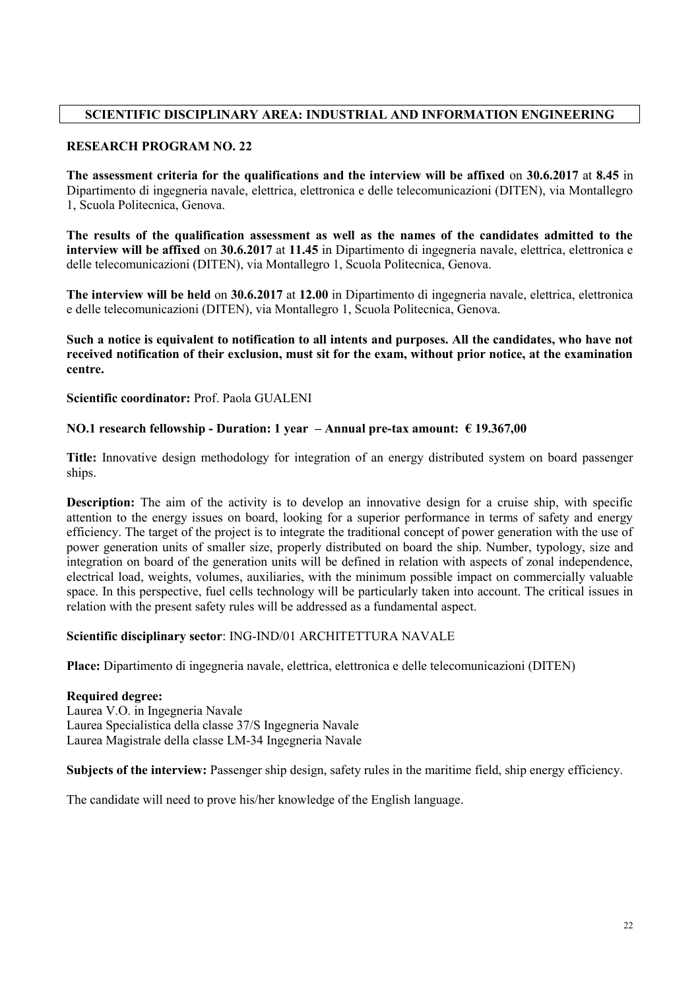# **SCIENTIFIC DISCIPLINARY AREA: INDUSTRIAL AND INFORMATION ENGINEERING**

### **RESEARCH PROGRAM NO. 22**

**The assessment criteria for the qualifications and the interview will be affixed** on **30.6.2017** at **8.45** in Dipartimento di ingegneria navale, elettrica, elettronica e delle telecomunicazioni (DITEN), via Montallegro 1, Scuola Politecnica, Genova.

**The results of the qualification assessment as well as the names of the candidates admitted to the interview will be affixed** on **30.6.2017** at **11.45** in Dipartimento di ingegneria navale, elettrica, elettronica e delle telecomunicazioni (DITEN), via Montallegro 1, Scuola Politecnica, Genova.

**The interview will be held** on **30.6.2017** at **12.00** in Dipartimento di ingegneria navale, elettrica, elettronica e delle telecomunicazioni (DITEN), via Montallegro 1, Scuola Politecnica, Genova.

**Such a notice is equivalent to notification to all intents and purposes. All the candidates, who have not received notification of their exclusion, must sit for the exam, without prior notice, at the examination centre.** 

**Scientific coordinator:** Prof. Paola GUALENI

## **NO.1 research fellowship - Duration: 1 year – Annual pre-tax amount: € 19.367,00**

**Title:** Innovative design methodology for integration of an energy distributed system on board passenger ships.

**Description:** The aim of the activity is to develop an innovative design for a cruise ship, with specific attention to the energy issues on board, looking for a superior performance in terms of safety and energy efficiency. The target of the project is to integrate the traditional concept of power generation with the use of power generation units of smaller size, properly distributed on board the ship. Number, typology, size and integration on board of the generation units will be defined in relation with aspects of zonal independence, electrical load, weights, volumes, auxiliaries, with the minimum possible impact on commercially valuable space. In this perspective, fuel cells technology will be particularly taken into account. The critical issues in relation with the present safety rules will be addressed as a fundamental aspect.

### **Scientific disciplinary sector**: ING-IND/01 ARCHITETTURA NAVALE

**Place:** Dipartimento di ingegneria navale, elettrica, elettronica e delle telecomunicazioni (DITEN)

### **Required degree:**

Laurea V.O. in Ingegneria Navale Laurea Specialistica della classe 37/S Ingegneria Navale Laurea Magistrale della classe LM-34 Ingegneria Navale

**Subjects of the interview:** Passenger ship design, safety rules in the maritime field, ship energy efficiency.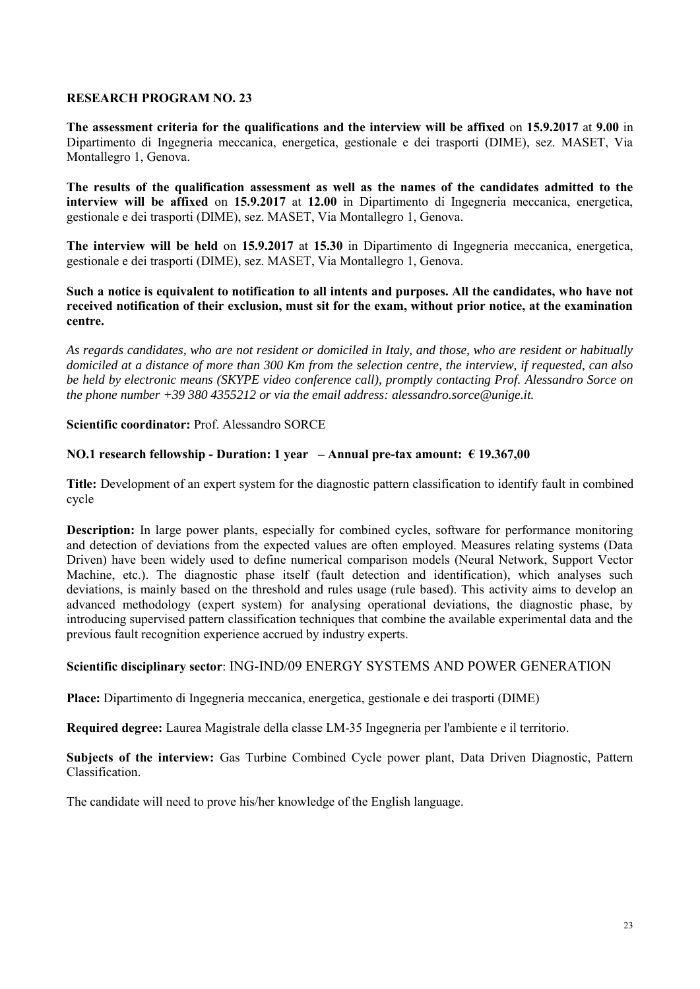**The assessment criteria for the qualifications and the interview will be affixed** on **15.9.2017** at **9.00** in Dipartimento di Ingegneria meccanica, energetica, gestionale e dei trasporti (DIME), sez. MASET, Via Montallegro 1, Genova.

**The results of the qualification assessment as well as the names of the candidates admitted to the interview will be affixed** on **15.9.2017** at **12.00** in Dipartimento di Ingegneria meccanica, energetica, gestionale e dei trasporti (DIME), sez. MASET, Via Montallegro 1, Genova.

**The interview will be held** on **15.9.2017** at **15.30** in Dipartimento di Ingegneria meccanica, energetica, gestionale e dei trasporti (DIME), sez. MASET, Via Montallegro 1, Genova.

**Such a notice is equivalent to notification to all intents and purposes. All the candidates, who have not received notification of their exclusion, must sit for the exam, without prior notice, at the examination centre.** 

*As regards candidates, who are not resident or domiciled in Italy, and those, who are resident or habitually domiciled at a distance of more than 300 Km from the selection centre, the interview, if requested, can also be held by electronic means (SKYPE video conference call), promptly contacting Prof. Alessandro Sorce on the phone number +39 380 4355212 or via the email address: alessandro.sorce@unige.it.* 

**Scientific coordinator:** Prof. Alessandro SORCE

### **NO.1 research fellowship - Duration: 1 year – Annual pre-tax amount: € 19.367,00**

**Title:** Development of an expert system for the diagnostic pattern classification to identify fault in combined cycle

**Description:** In large power plants, especially for combined cycles, software for performance monitoring and detection of deviations from the expected values are often employed. Measures relating systems (Data Driven) have been widely used to define numerical comparison models (Neural Network, Support Vector Machine, etc.). The diagnostic phase itself (fault detection and identification), which analyses such deviations, is mainly based on the threshold and rules usage (rule based). This activity aims to develop an advanced methodology (expert system) for analysing operational deviations, the diagnostic phase, by introducing supervised pattern classification techniques that combine the available experimental data and the previous fault recognition experience accrued by industry experts.

### **Scientific disciplinary sector**: ING-IND/09 ENERGY SYSTEMS AND POWER GENERATION

**Place:** Dipartimento di Ingegneria meccanica, energetica, gestionale e dei trasporti (DIME)

**Required degree:** Laurea Magistrale della classe LM-35 Ingegneria per l'ambiente e il territorio.

**Subjects of the interview:** Gas Turbine Combined Cycle power plant, Data Driven Diagnostic, Pattern Classification.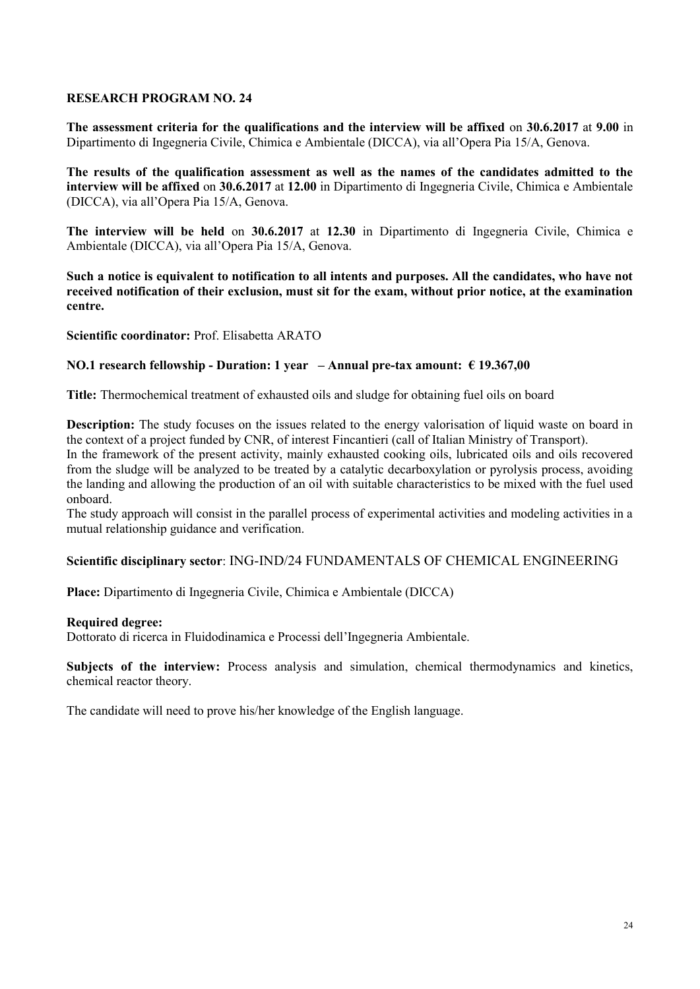**The assessment criteria for the qualifications and the interview will be affixed** on **30.6.2017** at **9.00** in Dipartimento di Ingegneria Civile, Chimica e Ambientale (DICCA), via all'Opera Pia 15/A, Genova.

**The results of the qualification assessment as well as the names of the candidates admitted to the interview will be affixed** on **30.6.2017** at **12.00** in Dipartimento di Ingegneria Civile, Chimica e Ambientale (DICCA), via all'Opera Pia 15/A, Genova.

**The interview will be held** on **30.6.2017** at **12.30** in Dipartimento di Ingegneria Civile, Chimica e Ambientale (DICCA), via all'Opera Pia 15/A, Genova.

**Such a notice is equivalent to notification to all intents and purposes. All the candidates, who have not received notification of their exclusion, must sit for the exam, without prior notice, at the examination centre.** 

**Scientific coordinator:** Prof. Elisabetta ARATO

### **NO.1 research fellowship - Duration: 1 year – Annual pre-tax amount: € 19.367,00**

**Title:** Thermochemical treatment of exhausted oils and sludge for obtaining fuel oils on board

**Description:** The study focuses on the issues related to the energy valorisation of liquid waste on board in the context of a project funded by CNR, of interest Fincantieri (call of Italian Ministry of Transport). In the framework of the present activity, mainly exhausted cooking oils, lubricated oils and oils recovered from the sludge will be analyzed to be treated by a catalytic decarboxylation or pyrolysis process, avoiding the landing and allowing the production of an oil with suitable characteristics to be mixed with the fuel used onboard.

The study approach will consist in the parallel process of experimental activities and modeling activities in a mutual relationship guidance and verification.

### **Scientific disciplinary sector**: ING-IND/24 FUNDAMENTALS OF CHEMICAL ENGINEERING

**Place:** Dipartimento di Ingegneria Civile, Chimica e Ambientale (DICCA)

#### **Required degree:**

Dottorato di ricerca in Fluidodinamica e Processi dell'Ingegneria Ambientale.

Subjects of the interview: Process analysis and simulation, chemical thermodynamics and kinetics, chemical reactor theory.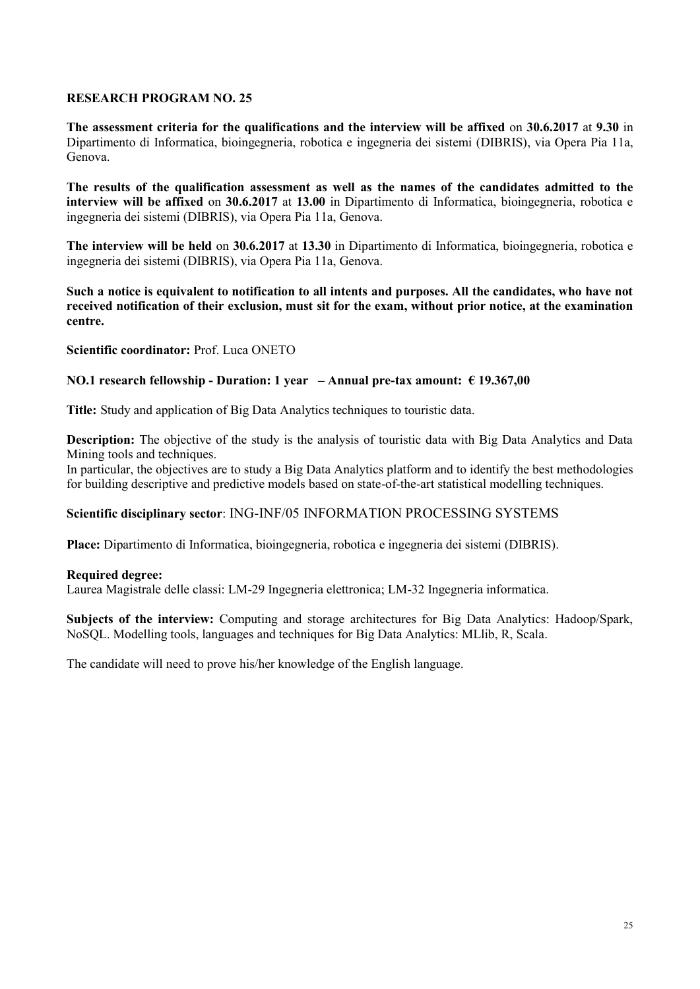**The assessment criteria for the qualifications and the interview will be affixed** on **30.6.2017** at **9.30** in Dipartimento di Informatica, bioingegneria, robotica e ingegneria dei sistemi (DIBRIS), via Opera Pia 11a, Genova.

**The results of the qualification assessment as well as the names of the candidates admitted to the interview will be affixed** on **30.6.2017** at **13.00** in Dipartimento di Informatica, bioingegneria, robotica e ingegneria dei sistemi (DIBRIS), via Opera Pia 11a, Genova.

**The interview will be held** on **30.6.2017** at **13.30** in Dipartimento di Informatica, bioingegneria, robotica e ingegneria dei sistemi (DIBRIS), via Opera Pia 11a, Genova.

**Such a notice is equivalent to notification to all intents and purposes. All the candidates, who have not received notification of their exclusion, must sit for the exam, without prior notice, at the examination centre.** 

**Scientific coordinator:** Prof. Luca ONETO

## **NO.1 research fellowship - Duration: 1 year – Annual pre-tax amount: € 19.367,00**

**Title:** Study and application of Big Data Analytics techniques to touristic data.

**Description:** The objective of the study is the analysis of touristic data with Big Data Analytics and Data Mining tools and techniques.

In particular, the objectives are to study a Big Data Analytics platform and to identify the best methodologies for building descriptive and predictive models based on state-of-the-art statistical modelling techniques.

### **Scientific disciplinary sector**: ING-INF/05 INFORMATION PROCESSING SYSTEMS

**Place:** Dipartimento di Informatica, bioingegneria, robotica e ingegneria dei sistemi (DIBRIS).

### **Required degree:**

Laurea Magistrale delle classi: LM-29 Ingegneria elettronica; LM-32 Ingegneria informatica.

**Subjects of the interview:** Computing and storage architectures for Big Data Analytics: Hadoop/Spark, NoSQL. Modelling tools, languages and techniques for Big Data Analytics: MLlib, R, Scala.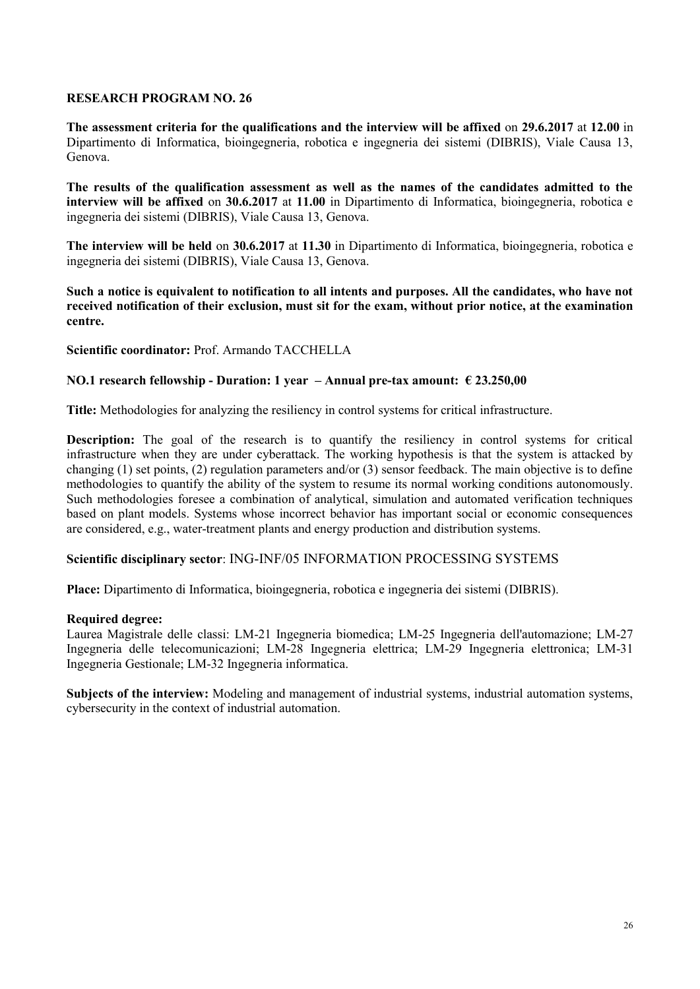**The assessment criteria for the qualifications and the interview will be affixed** on **29.6.2017** at **12.00** in Dipartimento di Informatica, bioingegneria, robotica e ingegneria dei sistemi (DIBRIS), Viale Causa 13, Genova.

**The results of the qualification assessment as well as the names of the candidates admitted to the interview will be affixed** on **30.6.2017** at **11.00** in Dipartimento di Informatica, bioingegneria, robotica e ingegneria dei sistemi (DIBRIS), Viale Causa 13, Genova.

**The interview will be held** on **30.6.2017** at **11.30** in Dipartimento di Informatica, bioingegneria, robotica e ingegneria dei sistemi (DIBRIS), Viale Causa 13, Genova.

**Such a notice is equivalent to notification to all intents and purposes. All the candidates, who have not received notification of their exclusion, must sit for the exam, without prior notice, at the examination centre.** 

**Scientific coordinator:** Prof. Armando TACCHELLA

### **NO.1 research fellowship - Duration: 1 year – Annual pre-tax amount: € 23.250,00**

**Title:** Methodologies for analyzing the resiliency in control systems for critical infrastructure.

**Description:** The goal of the research is to quantify the resiliency in control systems for critical infrastructure when they are under cyberattack. The working hypothesis is that the system is attacked by changing (1) set points, (2) regulation parameters and/or (3) sensor feedback. The main objective is to define methodologies to quantify the ability of the system to resume its normal working conditions autonomously. Such methodologies foresee a combination of analytical, simulation and automated verification techniques based on plant models. Systems whose incorrect behavior has important social or economic consequences are considered, e.g., water-treatment plants and energy production and distribution systems.

### **Scientific disciplinary sector**: ING-INF/05 INFORMATION PROCESSING SYSTEMS

**Place:** Dipartimento di Informatica, bioingegneria, robotica e ingegneria dei sistemi (DIBRIS).

### **Required degree:**

Laurea Magistrale delle classi: LM-21 Ingegneria biomedica; LM-25 Ingegneria dell'automazione; LM-27 Ingegneria delle telecomunicazioni; LM-28 Ingegneria elettrica; LM-29 Ingegneria elettronica; LM-31 Ingegneria Gestionale; LM-32 Ingegneria informatica.

**Subjects of the interview:** Modeling and management of industrial systems, industrial automation systems, cybersecurity in the context of industrial automation.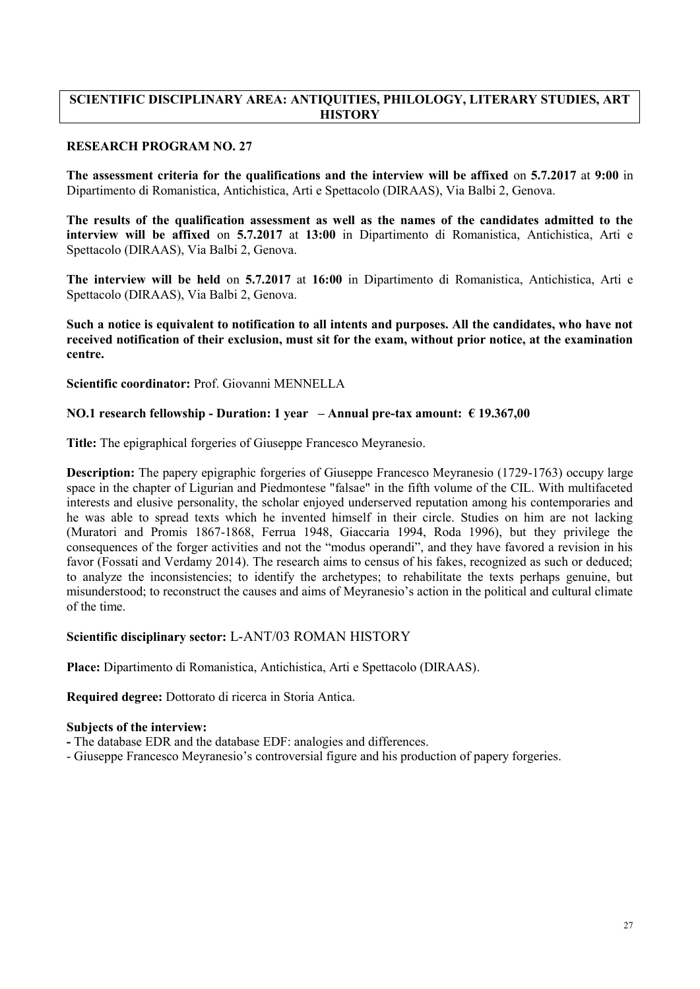## **SCIENTIFIC DISCIPLINARY AREA: ANTIQUITIES, PHILOLOGY, LITERARY STUDIES, ART HISTORY**

#### **RESEARCH PROGRAM NO. 27**

**The assessment criteria for the qualifications and the interview will be affixed** on **5.7.2017** at **9:00** in Dipartimento di Romanistica, Antichistica, Arti e Spettacolo (DIRAAS), Via Balbi 2, Genova.

**The results of the qualification assessment as well as the names of the candidates admitted to the interview will be affixed** on **5.7.2017** at **13:00** in Dipartimento di Romanistica, Antichistica, Arti e Spettacolo (DIRAAS), Via Balbi 2, Genova.

**The interview will be held** on **5.7.2017** at **16:00** in Dipartimento di Romanistica, Antichistica, Arti e Spettacolo (DIRAAS), Via Balbi 2, Genova.

**Such a notice is equivalent to notification to all intents and purposes. All the candidates, who have not received notification of their exclusion, must sit for the exam, without prior notice, at the examination centre.** 

**Scientific coordinator:** Prof. Giovanni MENNELLA

#### **NO.1 research fellowship - Duration: 1 year – Annual pre-tax amount: € 19.367,00**

**Title:** The epigraphical forgeries of Giuseppe Francesco Meyranesio.

**Description:** The papery epigraphic forgeries of Giuseppe Francesco Meyranesio (1729-1763) occupy large space in the chapter of Ligurian and Piedmontese "falsae" in the fifth volume of the CIL. With multifaceted interests and elusive personality, the scholar enjoyed underserved reputation among his contemporaries and he was able to spread texts which he invented himself in their circle. Studies on him are not lacking (Muratori and Promis 1867-1868, Ferrua 1948, Giaccaria 1994, Roda 1996), but they privilege the consequences of the forger activities and not the "modus operandi", and they have favored a revision in his favor (Fossati and Verdamy 2014). The research aims to census of his fakes, recognized as such or deduced; to analyze the inconsistencies; to identify the archetypes; to rehabilitate the texts perhaps genuine, but misunderstood; to reconstruct the causes and aims of Meyranesio's action in the political and cultural climate of the time.

### **Scientific disciplinary sector:** L-ANT/03 ROMAN HISTORY

**Place:** Dipartimento di Romanistica, Antichistica, Arti e Spettacolo (DIRAAS).

**Required degree:** Dottorato di ricerca in Storia Antica.

#### **Subjects of the interview:**

- The database EDR and the database EDF: analogies and differences.
- Giuseppe Francesco Meyranesio's controversial figure and his production of papery forgeries.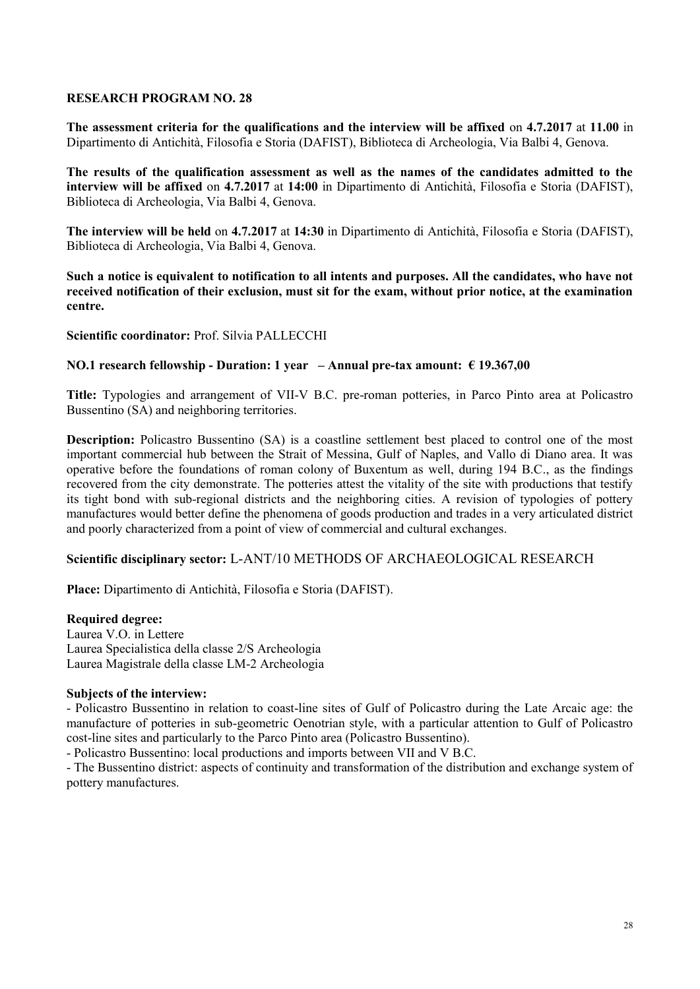**The assessment criteria for the qualifications and the interview will be affixed** on **4.7.2017** at **11.00** in Dipartimento di Antichità, Filosofia e Storia (DAFIST), Biblioteca di Archeologia, Via Balbi 4, Genova.

**The results of the qualification assessment as well as the names of the candidates admitted to the interview will be affixed** on **4.7.2017** at **14:00** in Dipartimento di Antichità, Filosofia e Storia (DAFIST), Biblioteca di Archeologia, Via Balbi 4, Genova.

**The interview will be held** on **4.7.2017** at **14:30** in Dipartimento di Antichità, Filosofia e Storia (DAFIST), Biblioteca di Archeologia, Via Balbi 4, Genova.

**Such a notice is equivalent to notification to all intents and purposes. All the candidates, who have not received notification of their exclusion, must sit for the exam, without prior notice, at the examination centre.** 

**Scientific coordinator:** Prof. Silvia PALLECCHI

### **NO.1 research fellowship - Duration: 1 year – Annual pre-tax amount: € 19.367,00**

**Title:** Typologies and arrangement of VII-V B.C. pre-roman potteries, in Parco Pinto area at Policastro Bussentino (SA) and neighboring territories.

**Description:** Policastro Bussentino (SA) is a coastline settlement best placed to control one of the most important commercial hub between the Strait of Messina, Gulf of Naples, and Vallo di Diano area. It was operative before the foundations of roman colony of Buxentum as well, during 194 B.C., as the findings recovered from the city demonstrate. The potteries attest the vitality of the site with productions that testify its tight bond with sub-regional districts and the neighboring cities. A revision of typologies of pottery manufactures would better define the phenomena of goods production and trades in a very articulated district and poorly characterized from a point of view of commercial and cultural exchanges.

## **Scientific disciplinary sector:** L-ANT/10 METHODS OF ARCHAEOLOGICAL RESEARCH

**Place:** Dipartimento di Antichità, Filosofia e Storia (DAFIST).

### **Required degree:**

Laurea V.O. in Lettere Laurea Specialistica della classe 2/S Archeologia Laurea Magistrale della classe LM-2 Archeologia

### **Subjects of the interview:**

- Policastro Bussentino in relation to coast-line sites of Gulf of Policastro during the Late Arcaic age: the manufacture of potteries in sub-geometric Oenotrian style, with a particular attention to Gulf of Policastro cost-line sites and particularly to the Parco Pinto area (Policastro Bussentino).

- Policastro Bussentino: local productions and imports between VII and V B.C.

- The Bussentino district: aspects of continuity and transformation of the distribution and exchange system of pottery manufactures.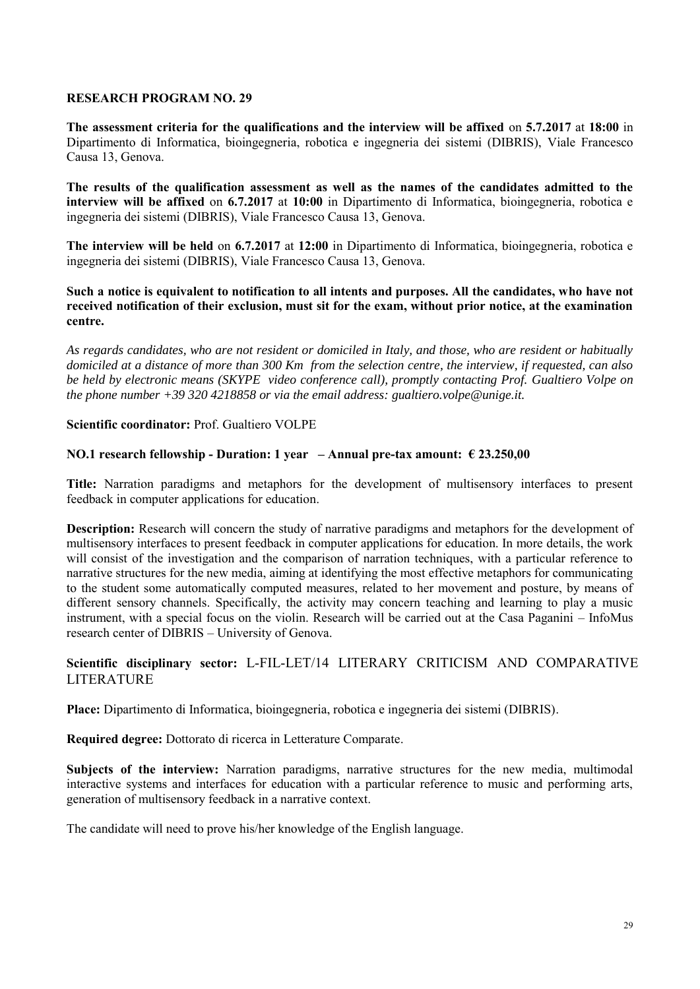**The assessment criteria for the qualifications and the interview will be affixed** on **5.7.2017** at **18:00** in Dipartimento di Informatica, bioingegneria, robotica e ingegneria dei sistemi (DIBRIS), Viale Francesco Causa 13, Genova.

**The results of the qualification assessment as well as the names of the candidates admitted to the interview will be affixed** on **6.7.2017** at **10:00** in Dipartimento di Informatica, bioingegneria, robotica e ingegneria dei sistemi (DIBRIS), Viale Francesco Causa 13, Genova.

**The interview will be held** on **6.7.2017** at **12:00** in Dipartimento di Informatica, bioingegneria, robotica e ingegneria dei sistemi (DIBRIS), Viale Francesco Causa 13, Genova.

**Such a notice is equivalent to notification to all intents and purposes. All the candidates, who have not received notification of their exclusion, must sit for the exam, without prior notice, at the examination centre.** 

*As regards candidates, who are not resident or domiciled in Italy, and those, who are resident or habitually domiciled at a distance of more than 300 Km from the selection centre, the interview, if requested, can also be held by electronic means (SKYPE video conference call), promptly contacting Prof. Gualtiero Volpe on the phone number +39 320 4218858 or via the email address: gualtiero.volpe@unige.it.* 

## **Scientific coordinator:** Prof. Gualtiero VOLPE

## **NO.1 research fellowship - Duration: 1 year – Annual pre-tax amount: € 23.250,00**

**Title:** Narration paradigms and metaphors for the development of multisensory interfaces to present feedback in computer applications for education.

**Description:** Research will concern the study of narrative paradigms and metaphors for the development of multisensory interfaces to present feedback in computer applications for education. In more details, the work will consist of the investigation and the comparison of narration techniques, with a particular reference to narrative structures for the new media, aiming at identifying the most effective metaphors for communicating to the student some automatically computed measures, related to her movement and posture, by means of different sensory channels. Specifically, the activity may concern teaching and learning to play a music instrument, with a special focus on the violin. Research will be carried out at the Casa Paganini – InfoMus research center of DIBRIS – University of Genova.

# **Scientific disciplinary sector:** L-FIL-LET/14 LITERARY CRITICISM AND COMPARATIVE LITERATURE

**Place:** Dipartimento di Informatica, bioingegneria, robotica e ingegneria dei sistemi (DIBRIS).

**Required degree:** Dottorato di ricerca in Letterature Comparate.

**Subjects of the interview:** Narration paradigms, narrative structures for the new media, multimodal interactive systems and interfaces for education with a particular reference to music and performing arts, generation of multisensory feedback in a narrative context.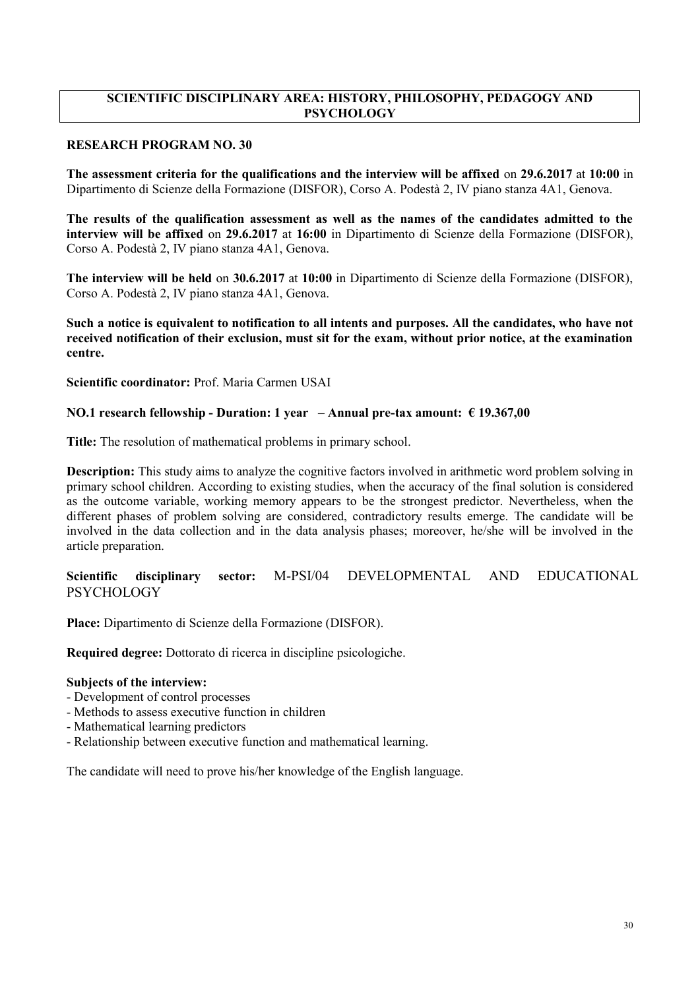## **SCIENTIFIC DISCIPLINARY AREA: HISTORY, PHILOSOPHY, PEDAGOGY AND PSYCHOLOGY**

### **RESEARCH PROGRAM NO. 30**

**The assessment criteria for the qualifications and the interview will be affixed** on **29.6.2017** at **10:00** in Dipartimento di Scienze della Formazione (DISFOR), Corso A. Podestà 2, IV piano stanza 4A1, Genova.

**The results of the qualification assessment as well as the names of the candidates admitted to the interview will be affixed** on **29.6.2017** at **16:00** in Dipartimento di Scienze della Formazione (DISFOR), Corso A. Podestà 2, IV piano stanza 4A1, Genova.

**The interview will be held** on **30.6.2017** at **10:00** in Dipartimento di Scienze della Formazione (DISFOR), Corso A. Podestà 2, IV piano stanza 4A1, Genova.

**Such a notice is equivalent to notification to all intents and purposes. All the candidates, who have not received notification of their exclusion, must sit for the exam, without prior notice, at the examination centre.** 

**Scientific coordinator:** Prof. Maria Carmen USAI

## **NO.1 research fellowship - Duration: 1 year – Annual pre-tax amount: € 19.367,00**

**Title:** The resolution of mathematical problems in primary school.

**Description:** This study aims to analyze the cognitive factors involved in arithmetic word problem solving in primary school children. According to existing studies, when the accuracy of the final solution is considered as the outcome variable, working memory appears to be the strongest predictor. Nevertheless, when the different phases of problem solving are considered, contradictory results emerge. The candidate will be involved in the data collection and in the data analysis phases; moreover, he/she will be involved in the article preparation.

## **Scientific disciplinary sector:** M-PSI/04 DEVELOPMENTAL AND EDUCATIONAL **PSYCHOLOGY**

**Place:** Dipartimento di Scienze della Formazione (DISFOR).

**Required degree:** Dottorato di ricerca in discipline psicologiche.

### **Subjects of the interview:**

- Development of control processes
- Methods to assess executive function in children
- Mathematical learning predictors
- Relationship between executive function and mathematical learning.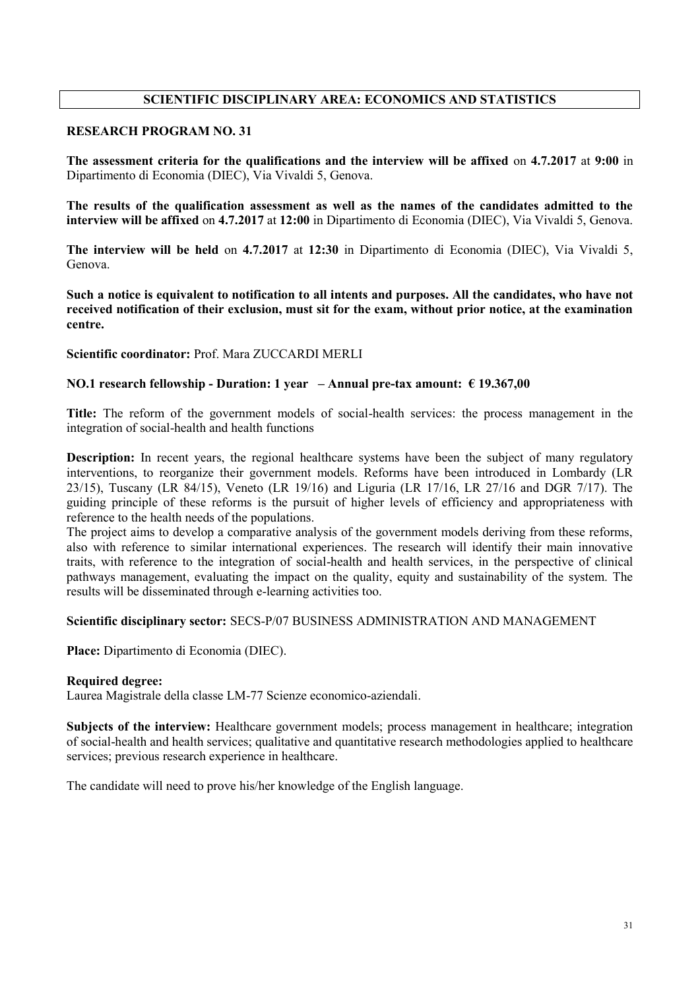## **SCIENTIFIC DISCIPLINARY AREA: ECONOMICS AND STATISTICS**

#### **RESEARCH PROGRAM NO. 31**

**The assessment criteria for the qualifications and the interview will be affixed** on **4.7.2017** at **9:00** in Dipartimento di Economia (DIEC), Via Vivaldi 5, Genova.

**The results of the qualification assessment as well as the names of the candidates admitted to the interview will be affixed** on **4.7.2017** at **12:00** in Dipartimento di Economia (DIEC), Via Vivaldi 5, Genova.

**The interview will be held** on **4.7.2017** at **12:30** in Dipartimento di Economia (DIEC), Via Vivaldi 5, Genova.

**Such a notice is equivalent to notification to all intents and purposes. All the candidates, who have not received notification of their exclusion, must sit for the exam, without prior notice, at the examination centre.** 

**Scientific coordinator:** Prof. Mara ZUCCARDI MERLI

### **NO.1 research fellowship - Duration: 1 year – Annual pre-tax amount: € 19.367,00**

**Title:** The reform of the government models of social-health services: the process management in the integration of social-health and health functions

**Description:** In recent years, the regional healthcare systems have been the subject of many regulatory interventions, to reorganize their government models. Reforms have been introduced in Lombardy (LR 23/15), Tuscany (LR 84/15), Veneto (LR 19/16) and Liguria (LR 17/16, LR 27/16 and DGR 7/17). The guiding principle of these reforms is the pursuit of higher levels of efficiency and appropriateness with reference to the health needs of the populations.

The project aims to develop a comparative analysis of the government models deriving from these reforms, also with reference to similar international experiences. The research will identify their main innovative traits, with reference to the integration of social-health and health services, in the perspective of clinical pathways management, evaluating the impact on the quality, equity and sustainability of the system. The results will be disseminated through e-learning activities too.

#### **Scientific disciplinary sector:** SECS-P/07 BUSINESS ADMINISTRATION AND MANAGEMENT

**Place:** Dipartimento di Economia (DIEC).

#### **Required degree:**

Laurea Magistrale della classe LM-77 Scienze economico-aziendali.

**Subjects of the interview:** Healthcare government models; process management in healthcare; integration of social-health and health services; qualitative and quantitative research methodologies applied to healthcare services; previous research experience in healthcare.